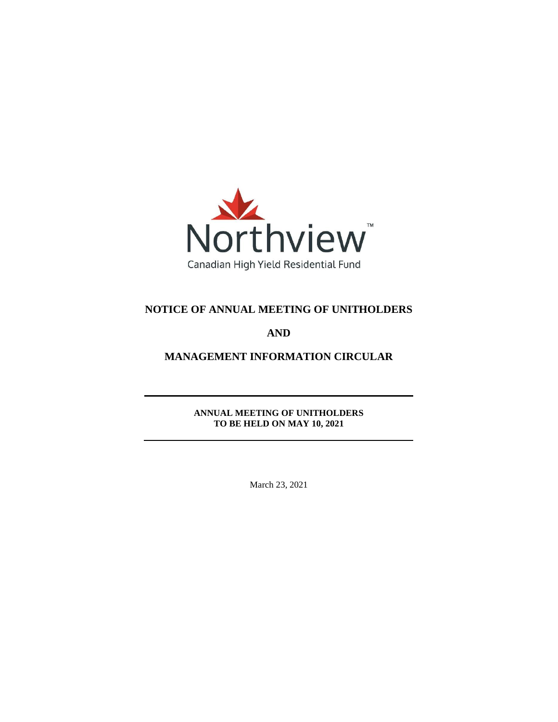

# **NOTICE OF ANNUAL MEETING OF UNITHOLDERS**

# **AND**

# **MANAGEMENT INFORMATION CIRCULAR**

**ANNUAL MEETING OF UNITHOLDERS TO BE HELD ON MAY 10, 2021**

March 23, 2021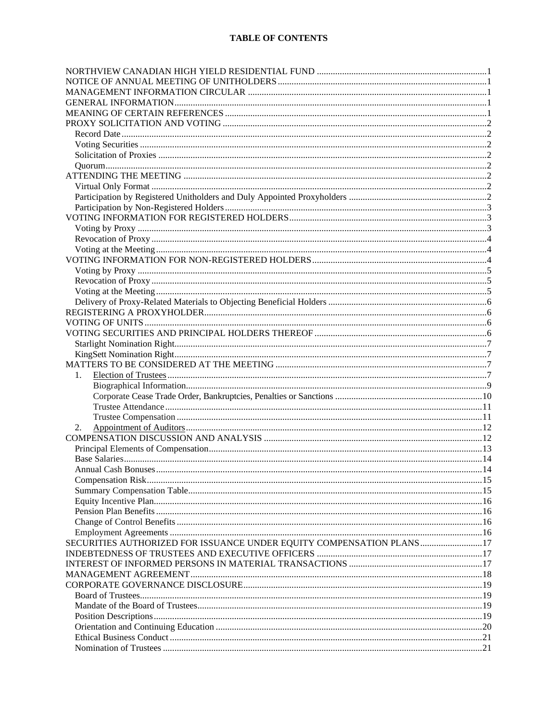## **TABLE OF CONTENTS**

| 1.                                                                   |  |
|----------------------------------------------------------------------|--|
|                                                                      |  |
|                                                                      |  |
|                                                                      |  |
|                                                                      |  |
| 2.                                                                   |  |
|                                                                      |  |
|                                                                      |  |
|                                                                      |  |
|                                                                      |  |
|                                                                      |  |
|                                                                      |  |
|                                                                      |  |
|                                                                      |  |
|                                                                      |  |
|                                                                      |  |
| SECURITIES AUTHORIZED FOR ISSUANCE UNDER EQUITY COMPENSATION PLANS17 |  |
|                                                                      |  |
|                                                                      |  |
|                                                                      |  |
|                                                                      |  |
|                                                                      |  |
|                                                                      |  |
|                                                                      |  |
|                                                                      |  |
|                                                                      |  |
|                                                                      |  |
|                                                                      |  |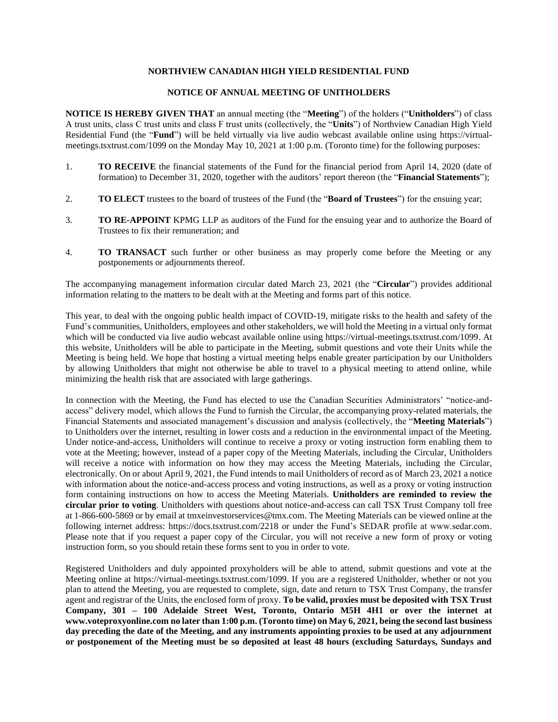### **NORTHVIEW CANADIAN HIGH YIELD RESIDENTIAL FUND**

### **NOTICE OF ANNUAL MEETING OF UNITHOLDERS**

**NOTICE IS HEREBY GIVEN THAT** an annual meeting (the "**Meeting**") of the holders ("**Unitholders**") of class A trust units, class C trust units and class F trust units (collectively, the "**Units**") of Northview Canadian High Yield Residential Fund (the "**Fund**") will be held virtually via live audio webcast available online using https://virtualmeetings.tsxtrust.com/1099 on the Monday May 10, 2021 at 1:00 p.m. (Toronto time) for the following purposes:

- 1. **TO RECEIVE** the financial statements of the Fund for the financial period from April 14, 2020 (date of formation) to December 31, 2020, together with the auditors' report thereon (the "**Financial Statements**");
- 2. **TO ELECT** trustees to the board of trustees of the Fund (the "**Board of Trustees**") for the ensuing year;
- 3. **TO RE-APPOINT** KPMG LLP as auditors of the Fund for the ensuing year and to authorize the Board of Trustees to fix their remuneration; and
- 4. **TO TRANSACT** such further or other business as may properly come before the Meeting or any postponements or adjournments thereof.

The accompanying management information circular dated March 23, 2021 (the "**Circular**") provides additional information relating to the matters to be dealt with at the Meeting and forms part of this notice.

This year, to deal with the ongoing public health impact of COVID-19, mitigate risks to the health and safety of the Fund's communities, Unitholders, employees and other stakeholders, we will hold the Meeting in a virtual only format which will be conducted via live audio webcast available online using https://virtual-meetings.tsxtrust.com/1099. At this website, Unitholders will be able to participate in the Meeting, submit questions and vote their Units while the Meeting is being held. We hope that hosting a virtual meeting helps enable greater participation by our Unitholders by allowing Unitholders that might not otherwise be able to travel to a physical meeting to attend online, while minimizing the health risk that are associated with large gatherings.

In connection with the Meeting, the Fund has elected to use the Canadian Securities Administrators' "notice-andaccess" delivery model, which allows the Fund to furnish the Circular, the accompanying proxy-related materials, the Financial Statements and associated management's discussion and analysis (collectively, the "**Meeting Materials**") to Unitholders over the internet, resulting in lower costs and a reduction in the environmental impact of the Meeting. Under notice-and-access, Unitholders will continue to receive a proxy or voting instruction form enabling them to vote at the Meeting; however, instead of a paper copy of the Meeting Materials, including the Circular, Unitholders will receive a notice with information on how they may access the Meeting Materials, including the Circular, electronically. On or about April 9, 2021, the Fund intends to mail Unitholders of record as of March 23, 2021 a notice with information about the notice-and-access process and voting instructions, as well as a proxy or voting instruction form containing instructions on how to access the Meeting Materials. **Unitholders are reminded to review the circular prior to voting**. Unitholders with questions about notice-and-access can call TSX Trust Company toll free at 1-866-600-5869 or by email at tmxeinvestorservices@tmx.com. The Meeting Materials can be viewed online at the following internet address: https://docs.tsxtrust.com/2218 or under the Fund's SEDAR profile at www.sedar.com. Please note that if you request a paper copy of the Circular, you will not receive a new form of proxy or voting instruction form, so you should retain these forms sent to you in order to vote.

Registered Unitholders and duly appointed proxyholders will be able to attend, submit questions and vote at the Meeting online at https://virtual-meetings.tsxtrust.com/1099. If you are a registered Unitholder, whether or not you plan to attend the Meeting, you are requested to complete, sign, date and return to TSX Trust Company, the transfer agent and registrar of the Units, the enclosed form of proxy. **To be valid, proxies must be deposited with TSX Trust Company, 301 – 100 Adelaide Street West, Toronto, Ontario M5H 4H1 or over the internet at www.voteproxyonline.com no later than 1:00 p.m. (Toronto time) on May 6, 2021, being the second last business day preceding the date of the Meeting, and any instruments appointing proxies to be used at any adjournment or postponement of the Meeting must be so deposited at least 48 hours (excluding Saturdays, Sundays and**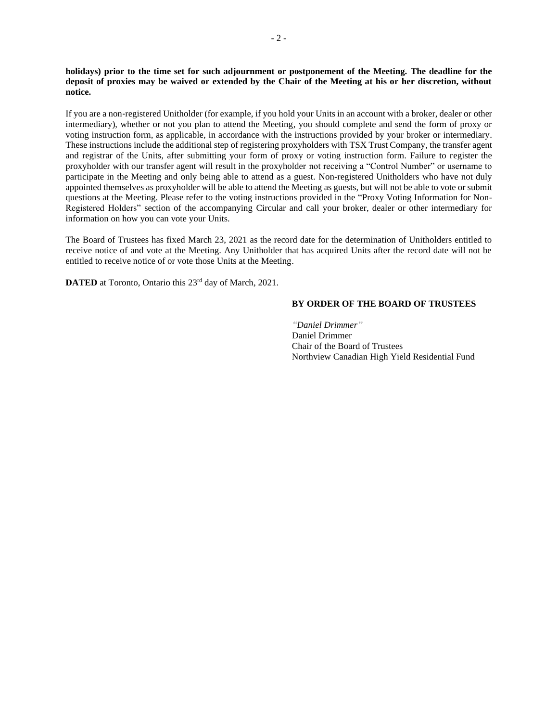**holidays) prior to the time set for such adjournment or postponement of the Meeting. The deadline for the deposit of proxies may be waived or extended by the Chair of the Meeting at his or her discretion, without notice.**

If you are a non‐registered Unitholder (for example, if you hold your Units in an account with a broker, dealer or other intermediary), whether or not you plan to attend the Meeting, you should complete and send the form of proxy or voting instruction form, as applicable, in accordance with the instructions provided by your broker or intermediary. These instructions include the additional step of registering proxyholders with TSX Trust Company, the transfer agent and registrar of the Units, after submitting your form of proxy or voting instruction form. Failure to register the proxyholder with our transfer agent will result in the proxyholder not receiving a "Control Number" or username to participate in the Meeting and only being able to attend as a guest. Non-registered Unitholders who have not duly appointed themselves as proxyholder will be able to attend the Meeting as guests, but will not be able to vote or submit questions at the Meeting. Please refer to the voting instructions provided in the "Proxy Voting Information for Non-Registered Holders" section of the accompanying Circular and call your broker, dealer or other intermediary for information on how you can vote your Units.

The Board of Trustees has fixed March 23, 2021 as the record date for the determination of Unitholders entitled to receive notice of and vote at the Meeting. Any Unitholder that has acquired Units after the record date will not be entitled to receive notice of or vote those Units at the Meeting.

**DATED** at Toronto, Ontario this 23<sup>rd</sup> day of March, 2021.

#### **BY ORDER OF THE BOARD OF TRUSTEES**

*"Daniel Drimmer"* Daniel Drimmer Chair of the Board of Trustees Northview Canadian High Yield Residential Fund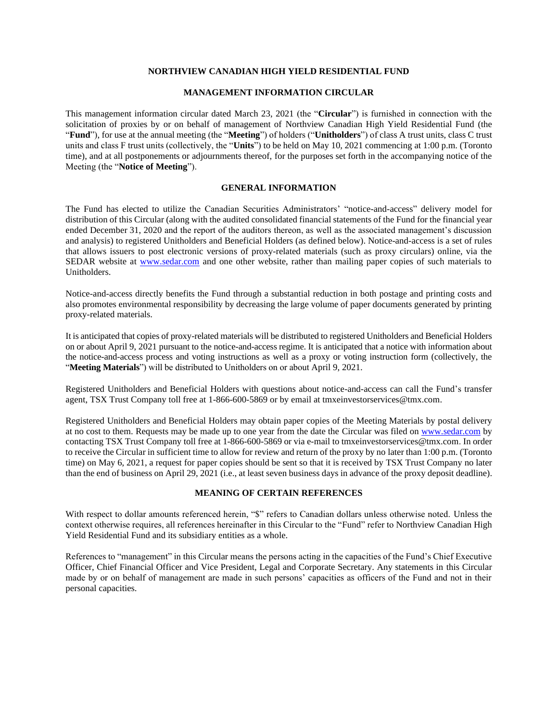### **NORTHVIEW CANADIAN HIGH YIELD RESIDENTIAL FUND**

## **MANAGEMENT INFORMATION CIRCULAR**

This management information circular dated March 23, 2021 (the "**Circular**") is furnished in connection with the solicitation of proxies by or on behalf of management of Northview Canadian High Yield Residential Fund (the "**Fund**"), for use at the annual meeting (the "**Meeting**") of holders ("**Unitholders**") of class A trust units, class C trust units and class F trust units (collectively, the "**Units**") to be held on May 10, 2021 commencing at 1:00 p.m. (Toronto time), and at all postponements or adjournments thereof, for the purposes set forth in the accompanying notice of the Meeting (the "**Notice of Meeting**").

#### **GENERAL INFORMATION**

The Fund has elected to utilize the Canadian Securities Administrators' "notice-and-access" delivery model for distribution of this Circular (along with the audited consolidated financial statements of the Fund for the financial year ended December 31, 2020 and the report of the auditors thereon, as well as the associated management's discussion and analysis) to registered Unitholders and Beneficial Holders (as defined below). Notice-and-access is a set of rules that allows issuers to post electronic versions of proxy-related materials (such as proxy circulars) online, via the SEDAR website at [www.sedar.com](http://www.sedar.com/) and one other website, rather than mailing paper copies of such materials to Unitholders.

Notice-and-access directly benefits the Fund through a substantial reduction in both postage and printing costs and also promotes environmental responsibility by decreasing the large volume of paper documents generated by printing proxy-related materials.

It is anticipated that copies of proxy-related materials will be distributed to registered Unitholders and Beneficial Holders on or about April 9, 2021 pursuant to the notice-and-access regime. It is anticipated that a notice with information about the notice-and-access process and voting instructions as well as a proxy or voting instruction form (collectively, the "**Meeting Materials**") will be distributed to Unitholders on or about April 9, 2021.

Registered Unitholders and Beneficial Holders with questions about notice-and-access can call the Fund's transfer agent, TSX Trust Company toll free at 1-866-600-5869 or by email at tmxeinvestorservices@tmx.com.

Registered Unitholders and Beneficial Holders may obtain paper copies of the Meeting Materials by postal delivery at no cost to them. Requests may be made up to one year from the date the Circular was filed on [www.sedar.com](http://www.sedar.com/) by contacting TSX Trust Company toll free at 1-866-600-5869 or via e-mail to tmxeinvestorservices@tmx.com. In order to receive the Circular in sufficient time to allow for review and return of the proxy by no later than 1:00 p.m. (Toronto time) on May 6, 2021, a request for paper copies should be sent so that it is received by TSX Trust Company no later than the end of business on April 29, 2021 (i.e., at least seven business days in advance of the proxy deposit deadline).

## **MEANING OF CERTAIN REFERENCES**

With respect to dollar amounts referenced herein, "\$" refers to Canadian dollars unless otherwise noted. Unless the context otherwise requires, all references hereinafter in this Circular to the "Fund" refer to Northview Canadian High Yield Residential Fund and its subsidiary entities as a whole.

References to "management" in this Circular means the persons acting in the capacities of the Fund's Chief Executive Officer, Chief Financial Officer and Vice President, Legal and Corporate Secretary. Any statements in this Circular made by or on behalf of management are made in such persons' capacities as officers of the Fund and not in their personal capacities.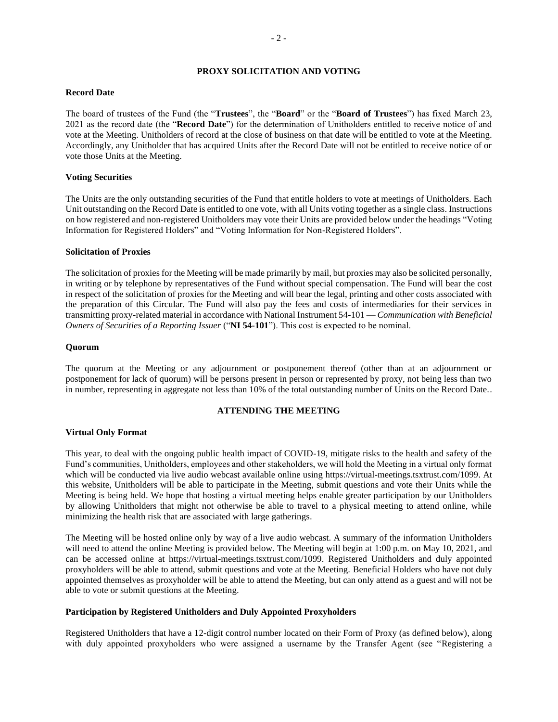## **PROXY SOLICITATION AND VOTING**

#### **Record Date**

The board of trustees of the Fund (the "**Trustees**", the "**Board**" or the "**Board of Trustees**") has fixed March 23, 2021 as the record date (the "**Record Date**") for the determination of Unitholders entitled to receive notice of and vote at the Meeting. Unitholders of record at the close of business on that date will be entitled to vote at the Meeting. Accordingly, any Unitholder that has acquired Units after the Record Date will not be entitled to receive notice of or vote those Units at the Meeting.

#### **Voting Securities**

The Units are the only outstanding securities of the Fund that entitle holders to vote at meetings of Unitholders. Each Unit outstanding on the Record Date is entitled to one vote, with all Units voting together as a single class. Instructions on how registered and non-registered Unitholders may vote their Units are provided below under the headings "Voting Information for Registered Holders" and "Voting Information for Non-Registered Holders".

#### **Solicitation of Proxies**

The solicitation of proxies for the Meeting will be made primarily by mail, but proxies may also be solicited personally, in writing or by telephone by representatives of the Fund without special compensation. The Fund will bear the cost in respect of the solicitation of proxies for the Meeting and will bear the legal, printing and other costs associated with the preparation of this Circular. The Fund will also pay the fees and costs of intermediaries for their services in transmitting proxy-related material in accordance with National Instrument 54-101 — *Communication with Beneficial Owners of Securities of a Reporting Issuer* ("**NI 54-101**"). This cost is expected to be nominal.

#### **Quorum**

The quorum at the Meeting or any adjournment or postponement thereof (other than at an adjournment or postponement for lack of quorum) will be persons present in person or represented by proxy, not being less than two in number, representing in aggregate not less than 10% of the total outstanding number of Units on the Record Date..

#### **ATTENDING THE MEETING**

#### **Virtual Only Format**

This year, to deal with the ongoing public health impact of COVID-19, mitigate risks to the health and safety of the Fund's communities, Unitholders, employees and other stakeholders, we will hold the Meeting in a virtual only format which will be conducted via live audio webcast available online using https://virtual-meetings.tsxtrust.com/1099. At this website, Unitholders will be able to participate in the Meeting, submit questions and vote their Units while the Meeting is being held. We hope that hosting a virtual meeting helps enable greater participation by our Unitholders by allowing Unitholders that might not otherwise be able to travel to a physical meeting to attend online, while minimizing the health risk that are associated with large gatherings.

The Meeting will be hosted online only by way of a live audio webcast. A summary of the information Unitholders will need to attend the online Meeting is provided below. The Meeting will begin at 1:00 p.m. on May 10, 2021, and can be accessed online at https://virtual-meetings.tsxtrust.com/1099. Registered Unitholders and duly appointed proxyholders will be able to attend, submit questions and vote at the Meeting. Beneficial Holders who have not duly appointed themselves as proxyholder will be able to attend the Meeting, but can only attend as a guest and will not be able to vote or submit questions at the Meeting.

## **Participation by Registered Unitholders and Duly Appointed Proxyholders**

Registered Unitholders that have a 12-digit control number located on their Form of Proxy (as defined below), along with duly appointed proxyholders who were assigned a username by the Transfer Agent (see "Registering a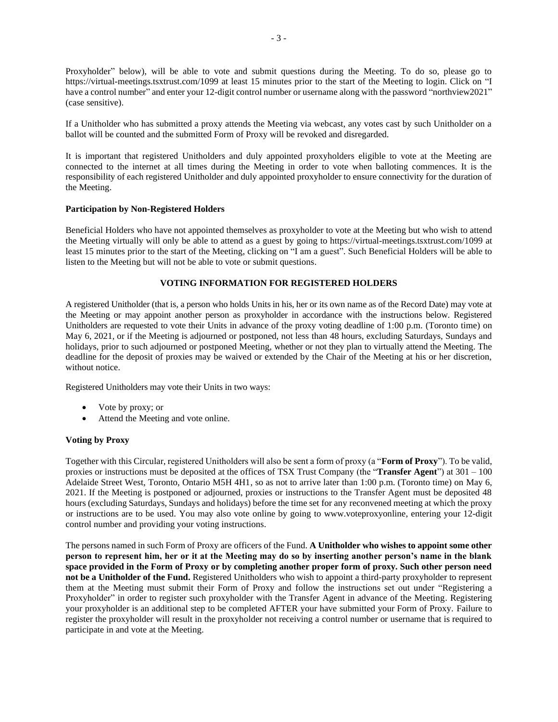Proxyholder" below), will be able to vote and submit questions during the Meeting. To do so, please go to https://virtual-meetings.tsxtrust.com/1099 at least 15 minutes prior to the start of the Meeting to login. Click on "I have a control number" and enter your 12-digit control number or username along with the password "northview2021" (case sensitive).

If a Unitholder who has submitted a proxy attends the Meeting via webcast, any votes cast by such Unitholder on a ballot will be counted and the submitted Form of Proxy will be revoked and disregarded.

It is important that registered Unitholders and duly appointed proxyholders eligible to vote at the Meeting are connected to the internet at all times during the Meeting in order to vote when balloting commences. It is the responsibility of each registered Unitholder and duly appointed proxyholder to ensure connectivity for the duration of the Meeting.

### **Participation by Non-Registered Holders**

Beneficial Holders who have not appointed themselves as proxyholder to vote at the Meeting but who wish to attend the Meeting virtually will only be able to attend as a guest by going to https://virtual-meetings.tsxtrust.com/1099 at least 15 minutes prior to the start of the Meeting, clicking on "I am a guest". Such Beneficial Holders will be able to listen to the Meeting but will not be able to vote or submit questions.

## **VOTING INFORMATION FOR REGISTERED HOLDERS**

A registered Unitholder (that is, a person who holds Units in his, her or its own name as of the Record Date) may vote at the Meeting or may appoint another person as proxyholder in accordance with the instructions below. Registered Unitholders are requested to vote their Units in advance of the proxy voting deadline of 1:00 p.m. (Toronto time) on May 6, 2021, or if the Meeting is adjourned or postponed, not less than 48 hours, excluding Saturdays, Sundays and holidays, prior to such adjourned or postponed Meeting, whether or not they plan to virtually attend the Meeting. The deadline for the deposit of proxies may be waived or extended by the Chair of the Meeting at his or her discretion, without notice.

Registered Unitholders may vote their Units in two ways:

- Vote by proxy; or
- Attend the Meeting and vote online.

### **Voting by Proxy**

Together with this Circular, registered Unitholders will also be sent a form of proxy (a "**Form of Proxy**"). To be valid, proxies or instructions must be deposited at the offices of TSX Trust Company (the "**Transfer Agent**") at 301 – 100 Adelaide Street West, Toronto, Ontario M5H 4H1, so as not to arrive later than 1:00 p.m. (Toronto time) on May 6, 2021. If the Meeting is postponed or adjourned, proxies or instructions to the Transfer Agent must be deposited 48 hours (excluding Saturdays, Sundays and holidays) before the time set for any reconvened meeting at which the proxy or instructions are to be used. You may also vote online by going to www.voteproxyonline, entering your 12-digit control number and providing your voting instructions.

The persons named in such Form of Proxy are officers of the Fund. **A Unitholder who wishes to appoint some other person to represent him, her or it at the Meeting may do so by inserting another person's name in the blank space provided in the Form of Proxy or by completing another proper form of proxy. Such other person need not be a Unitholder of the Fund.** Registered Unitholders who wish to appoint a third-party proxyholder to represent them at the Meeting must submit their Form of Proxy and follow the instructions set out under "Registering a Proxyholder" in order to register such proxyholder with the Transfer Agent in advance of the Meeting. Registering your proxyholder is an additional step to be completed AFTER your have submitted your Form of Proxy. Failure to register the proxyholder will result in the proxyholder not receiving a control number or username that is required to participate in and vote at the Meeting.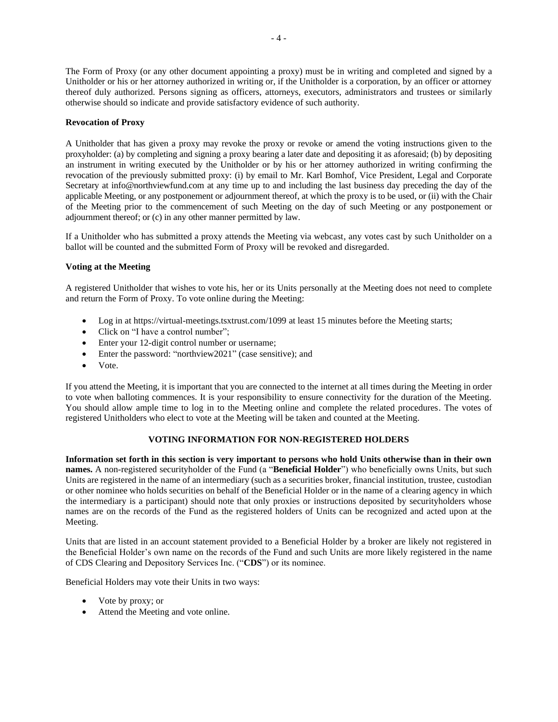The Form of Proxy (or any other document appointing a proxy) must be in writing and completed and signed by a Unitholder or his or her attorney authorized in writing or, if the Unitholder is a corporation, by an officer or attorney thereof duly authorized. Persons signing as officers, attorneys, executors, administrators and trustees or similarly otherwise should so indicate and provide satisfactory evidence of such authority.

### **Revocation of Proxy**

A Unitholder that has given a proxy may revoke the proxy or revoke or amend the voting instructions given to the proxyholder: (a) by completing and signing a proxy bearing a later date and depositing it as aforesaid; (b) by depositing an instrument in writing executed by the Unitholder or by his or her attorney authorized in writing confirming the revocation of the previously submitted proxy: (i) by email to Mr. Karl Bomhof, Vice President, Legal and Corporate Secretary at info@northviewfund.com at any time up to and including the last business day preceding the day of the applicable Meeting, or any postponement or adjournment thereof, at which the proxy is to be used, or (ii) with the Chair of the Meeting prior to the commencement of such Meeting on the day of such Meeting or any postponement or adjournment thereof; or (c) in any other manner permitted by law.

If a Unitholder who has submitted a proxy attends the Meeting via webcast, any votes cast by such Unitholder on a ballot will be counted and the submitted Form of Proxy will be revoked and disregarded.

## **Voting at the Meeting**

A registered Unitholder that wishes to vote his, her or its Units personally at the Meeting does not need to complete and return the Form of Proxy. To vote online during the Meeting:

- Log in at https://virtual-meetings.tsxtrust.com/1099 at least 15 minutes before the Meeting starts;
- Click on "I have a control number";
- Enter your 12-digit control number or username;
- Enter the password: "northview2021" (case sensitive); and
- Vote.

If you attend the Meeting, it is important that you are connected to the internet at all times during the Meeting in order to vote when balloting commences. It is your responsibility to ensure connectivity for the duration of the Meeting. You should allow ample time to log in to the Meeting online and complete the related procedures. The votes of registered Unitholders who elect to vote at the Meeting will be taken and counted at the Meeting.

## **VOTING INFORMATION FOR NON-REGISTERED HOLDERS**

**Information set forth in this section is very important to persons who hold Units otherwise than in their own names.** A non-registered securityholder of the Fund (a "**Beneficial Holder**") who beneficially owns Units, but such Units are registered in the name of an intermediary (such as a securities broker, financial institution, trustee, custodian or other nominee who holds securities on behalf of the Beneficial Holder or in the name of a clearing agency in which the intermediary is a participant) should note that only proxies or instructions deposited by securityholders whose names are on the records of the Fund as the registered holders of Units can be recognized and acted upon at the Meeting.

Units that are listed in an account statement provided to a Beneficial Holder by a broker are likely not registered in the Beneficial Holder's own name on the records of the Fund and such Units are more likely registered in the name of CDS Clearing and Depository Services Inc. ("**CDS**") or its nominee.

Beneficial Holders may vote their Units in two ways:

- Vote by proxy; or
- Attend the Meeting and vote online.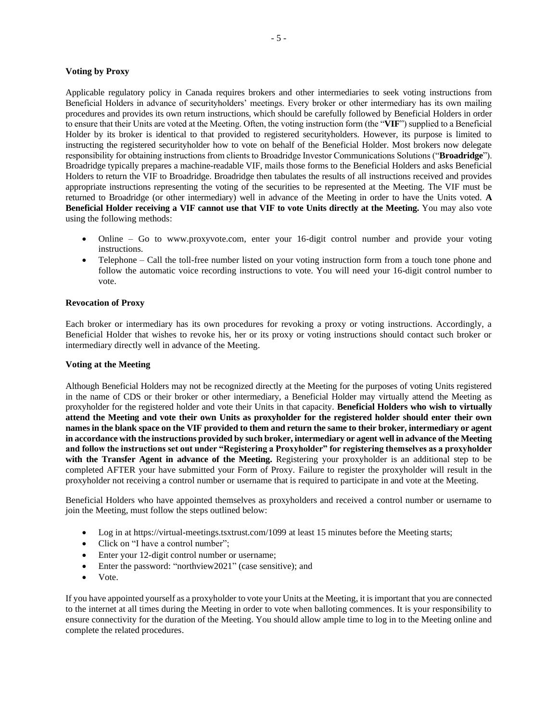### **Voting by Proxy**

Applicable regulatory policy in Canada requires brokers and other intermediaries to seek voting instructions from Beneficial Holders in advance of securityholders' meetings. Every broker or other intermediary has its own mailing procedures and provides its own return instructions, which should be carefully followed by Beneficial Holders in order to ensure that their Units are voted at the Meeting. Often, the voting instruction form (the "**VIF**") supplied to a Beneficial Holder by its broker is identical to that provided to registered securityholders. However, its purpose is limited to instructing the registered securityholder how to vote on behalf of the Beneficial Holder. Most brokers now delegate responsibility for obtaining instructions from clients to Broadridge Investor Communications Solutions ("**Broadridge**"). Broadridge typically prepares a machine-readable VIF, mails those forms to the Beneficial Holders and asks Beneficial Holders to return the VIF to Broadridge. Broadridge then tabulates the results of all instructions received and provides appropriate instructions representing the voting of the securities to be represented at the Meeting. The VIF must be returned to Broadridge (or other intermediary) well in advance of the Meeting in order to have the Units voted. **A Beneficial Holder receiving a VIF cannot use that VIF to vote Units directly at the Meeting.** You may also vote using the following methods:

- Online Go to www.proxyvote.com, enter your 16-digit control number and provide your voting instructions.
- Telephone Call the toll-free number listed on your voting instruction form from a touch tone phone and follow the automatic voice recording instructions to vote. You will need your 16-digit control number to vote.

#### **Revocation of Proxy**

Each broker or intermediary has its own procedures for revoking a proxy or voting instructions. Accordingly, a Beneficial Holder that wishes to revoke his, her or its proxy or voting instructions should contact such broker or intermediary directly well in advance of the Meeting.

#### **Voting at the Meeting**

Although Beneficial Holders may not be recognized directly at the Meeting for the purposes of voting Units registered in the name of CDS or their broker or other intermediary, a Beneficial Holder may virtually attend the Meeting as proxyholder for the registered holder and vote their Units in that capacity. **Beneficial Holders who wish to virtually attend the Meeting and vote their own Units as proxyholder for the registered holder should enter their own names in the blank space on the VIF provided to them and return the same to their broker, intermediary or agent in accordance with the instructions provided by such broker, intermediary or agent well in advance of the Meeting and follow the instructions set out under "Registering a Proxyholder" for registering themselves as a proxyholder with the Transfer Agent in advance of the Meeting.** Registering your proxyholder is an additional step to be completed AFTER your have submitted your Form of Proxy. Failure to register the proxyholder will result in the proxyholder not receiving a control number or username that is required to participate in and vote at the Meeting.

Beneficial Holders who have appointed themselves as proxyholders and received a control number or username to join the Meeting, must follow the steps outlined below:

- Log in at https://virtual-meetings.tsxtrust.com/1099 at least 15 minutes before the Meeting starts;
- Click on "I have a control number";
- Enter your 12-digit control number or username;
- Enter the password: "northview2021" (case sensitive); and
- Vote.

If you have appointed yourself as a proxyholder to vote your Units at the Meeting, it is important that you are connected to the internet at all times during the Meeting in order to vote when balloting commences. It is your responsibility to ensure connectivity for the duration of the Meeting. You should allow ample time to log in to the Meeting online and complete the related procedures.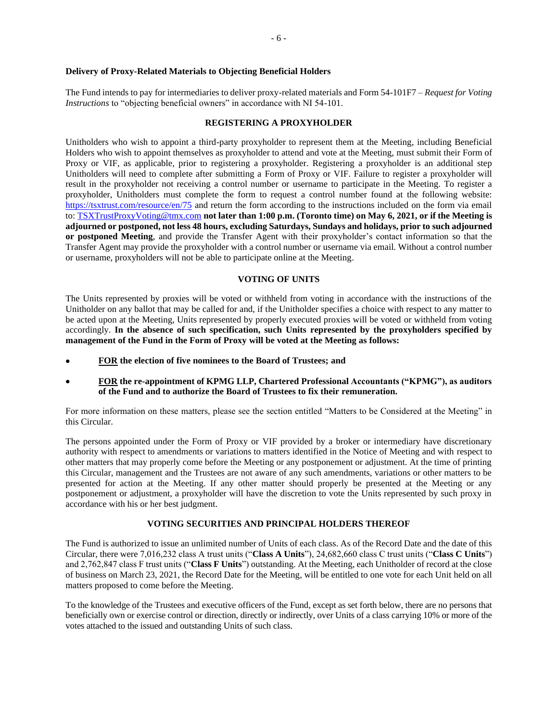#### **Delivery of Proxy-Related Materials to Objecting Beneficial Holders**

The Fund intends to pay for intermediaries to deliver proxy-related materials and Form 54-101F7 – *Request for Voting Instructions* to "objecting beneficial owners" in accordance with NI 54-101.

#### **REGISTERING A PROXYHOLDER**

Unitholders who wish to appoint a third-party proxyholder to represent them at the Meeting, including Beneficial Holders who wish to appoint themselves as proxyholder to attend and vote at the Meeting, must submit their Form of Proxy or VIF, as applicable, prior to registering a proxyholder. Registering a proxyholder is an additional step Unitholders will need to complete after submitting a Form of Proxy or VIF. Failure to register a proxyholder will result in the proxyholder not receiving a control number or username to participate in the Meeting. To register a proxyholder, Unitholders must complete the form to request a control number found at the following website: <https://tsxtrust.com/resource/en/75> and return the form according to the instructions included on the form via email to: [TSXTrustProxyVoting@tmx.com](mailto:TSXTrustProxyVoting@tmx.com) **not later than 1:00 p.m. (Toronto time) on May 6, 2021, or if the Meeting is adjourned or postponed, not less 48 hours, excluding Saturdays, Sundays and holidays, prior to such adjourned or postponed Meeting**, and provide the Transfer Agent with their proxyholder's contact information so that the Transfer Agent may provide the proxyholder with a control number or username via email. Without a control number or username, proxyholders will not be able to participate online at the Meeting.

#### **VOTING OF UNITS**

The Units represented by proxies will be voted or withheld from voting in accordance with the instructions of the Unitholder on any ballot that may be called for and, if the Unitholder specifies a choice with respect to any matter to be acted upon at the Meeting, Units represented by properly executed proxies will be voted or withheld from voting accordingly. **In the absence of such specification, such Units represented by the proxyholders specified by management of the Fund in the Form of Proxy will be voted at the Meeting as follows:**

- **FOR the election of five nominees to the Board of Trustees; and**
- **FOR the re-appointment of KPMG LLP, Chartered Professional Accountants ("KPMG"), as auditors of the Fund and to authorize the Board of Trustees to fix their remuneration.**

For more information on these matters, please see the section entitled "Matters to be Considered at the Meeting" in this Circular.

The persons appointed under the Form of Proxy or VIF provided by a broker or intermediary have discretionary authority with respect to amendments or variations to matters identified in the Notice of Meeting and with respect to other matters that may properly come before the Meeting or any postponement or adjustment. At the time of printing this Circular, management and the Trustees are not aware of any such amendments, variations or other matters to be presented for action at the Meeting. If any other matter should properly be presented at the Meeting or any postponement or adjustment, a proxyholder will have the discretion to vote the Units represented by such proxy in accordance with his or her best judgment.

#### **VOTING SECURITIES AND PRINCIPAL HOLDERS THEREOF**

The Fund is authorized to issue an unlimited number of Units of each class. As of the Record Date and the date of this Circular, there were 7,016,232 class A trust units ("**Class A Units**"), 24,682,660 class C trust units ("**Class C Units**") and 2,762,847 class F trust units ("**Class F Units**") outstanding. At the Meeting, each Unitholder of record at the close of business on March 23, 2021, the Record Date for the Meeting, will be entitled to one vote for each Unit held on all matters proposed to come before the Meeting.

To the knowledge of the Trustees and executive officers of the Fund, except as set forth below, there are no persons that beneficially own or exercise control or direction, directly or indirectly, over Units of a class carrying 10% or more of the votes attached to the issued and outstanding Units of such class.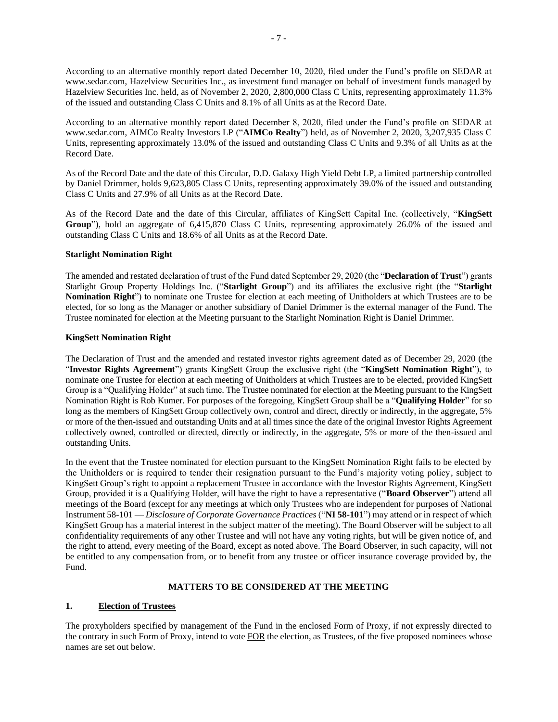According to an alternative monthly report dated December 10, 2020, filed under the Fund's profile on SEDAR at www.sedar.com, Hazelview Securities Inc., as investment fund manager on behalf of investment funds managed by Hazelview Securities Inc. held, as of November 2, 2020, 2,800,000 Class C Units, representing approximately 11.3% of the issued and outstanding Class C Units and 8.1% of all Units as at the Record Date.

According to an alternative monthly report dated December 8, 2020, filed under the Fund's profile on SEDAR at www.sedar.com, AIMCo Realty Investors LP ("**AIMCo Realty**") held, as of November 2, 2020, 3,207,935 Class C Units, representing approximately 13.0% of the issued and outstanding Class C Units and 9.3% of all Units as at the Record Date.

As of the Record Date and the date of this Circular, D.D. Galaxy High Yield Debt LP, a limited partnership controlled by Daniel Drimmer, holds 9,623,805 Class C Units, representing approximately 39.0% of the issued and outstanding Class C Units and 27.9% of all Units as at the Record Date.

As of the Record Date and the date of this Circular, affiliates of KingSett Capital Inc. (collectively, "**KingSett Group**"), hold an aggregate of 6,415,870 Class C Units, representing approximately 26.0% of the issued and outstanding Class C Units and 18.6% of all Units as at the Record Date.

### **Starlight Nomination Right**

The amended and restated declaration of trust of the Fund dated September 29, 2020 (the "**Declaration of Trust**") grants Starlight Group Property Holdings Inc. ("**Starlight Group**") and its affiliates the exclusive right (the "**Starlight Nomination Right**") to nominate one Trustee for election at each meeting of Unitholders at which Trustees are to be elected, for so long as the Manager or another subsidiary of Daniel Drimmer is the external manager of the Fund. The Trustee nominated for election at the Meeting pursuant to the Starlight Nomination Right is Daniel Drimmer.

### **KingSett Nomination Right**

The Declaration of Trust and the amended and restated investor rights agreement dated as of December 29, 2020 (the "**Investor Rights Agreement**") grants KingSett Group the exclusive right (the "**KingSett Nomination Right**"), to nominate one Trustee for election at each meeting of Unitholders at which Trustees are to be elected, provided KingSett Group is a "Qualifying Holder" at such time. The Trustee nominated for election at the Meeting pursuant to the KingSett Nomination Right is Rob Kumer. For purposes of the foregoing, KingSett Group shall be a "**Qualifying Holder**" for so long as the members of KingSett Group collectively own, control and direct, directly or indirectly, in the aggregate, 5% or more of the then-issued and outstanding Units and at all times since the date of the original Investor Rights Agreement collectively owned, controlled or directed, directly or indirectly, in the aggregate, 5% or more of the then-issued and outstanding Units.

In the event that the Trustee nominated for election pursuant to the KingSett Nomination Right fails to be elected by the Unitholders or is required to tender their resignation pursuant to the Fund's majority voting policy, subject to KingSett Group's right to appoint a replacement Trustee in accordance with the Investor Rights Agreement, KingSett Group, provided it is a Qualifying Holder, will have the right to have a representative ("**Board Observer**") attend all meetings of the Board (except for any meetings at which only Trustees who are independent for purposes of National Instrument 58-101 — *Disclosure of Corporate Governance Practices* ("**NI 58-101**") may attend or in respect of which KingSett Group has a material interest in the subject matter of the meeting). The Board Observer will be subject to all confidentiality requirements of any other Trustee and will not have any voting rights, but will be given notice of, and the right to attend, every meeting of the Board, except as noted above. The Board Observer, in such capacity, will not be entitled to any compensation from, or to benefit from any trustee or officer insurance coverage provided by, the Fund.

## **MATTERS TO BE CONSIDERED AT THE MEETING**

## **1. Election of Trustees**

The proxyholders specified by management of the Fund in the enclosed Form of Proxy, if not expressly directed to the contrary in such Form of Proxy, intend to vote FOR the election, as Trustees, of the five proposed nominees whose names are set out below.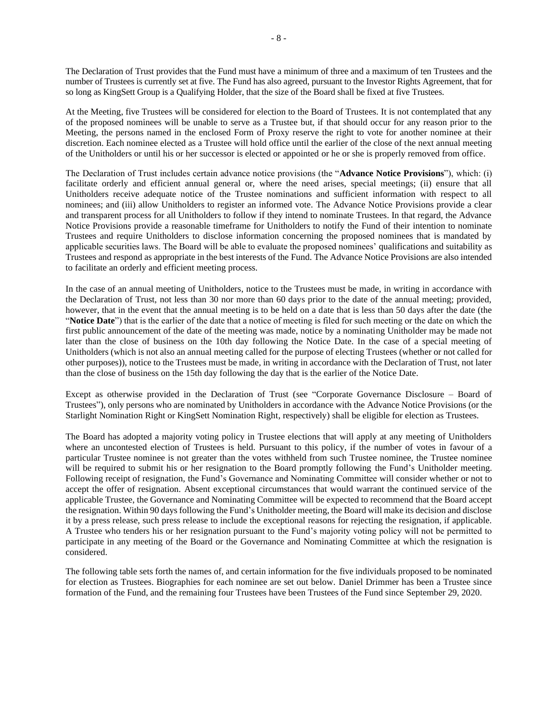The Declaration of Trust provides that the Fund must have a minimum of three and a maximum of ten Trustees and the number of Trustees is currently set at five. The Fund has also agreed, pursuant to the Investor Rights Agreement, that for so long as KingSett Group is a Qualifying Holder, that the size of the Board shall be fixed at five Trustees.

At the Meeting, five Trustees will be considered for election to the Board of Trustees. It is not contemplated that any of the proposed nominees will be unable to serve as a Trustee but, if that should occur for any reason prior to the Meeting, the persons named in the enclosed Form of Proxy reserve the right to vote for another nominee at their discretion. Each nominee elected as a Trustee will hold office until the earlier of the close of the next annual meeting of the Unitholders or until his or her successor is elected or appointed or he or she is properly removed from office.

The Declaration of Trust includes certain advance notice provisions (the "**Advance Notice Provisions**"), which: (i) facilitate orderly and efficient annual general or, where the need arises, special meetings; (ii) ensure that all Unitholders receive adequate notice of the Trustee nominations and sufficient information with respect to all nominees; and (iii) allow Unitholders to register an informed vote. The Advance Notice Provisions provide a clear and transparent process for all Unitholders to follow if they intend to nominate Trustees. In that regard, the Advance Notice Provisions provide a reasonable timeframe for Unitholders to notify the Fund of their intention to nominate Trustees and require Unitholders to disclose information concerning the proposed nominees that is mandated by applicable securities laws. The Board will be able to evaluate the proposed nominees' qualifications and suitability as Trustees and respond as appropriate in the best interests of the Fund. The Advance Notice Provisions are also intended to facilitate an orderly and efficient meeting process.

In the case of an annual meeting of Unitholders, notice to the Trustees must be made, in writing in accordance with the Declaration of Trust, not less than 30 nor more than 60 days prior to the date of the annual meeting; provided, however, that in the event that the annual meeting is to be held on a date that is less than 50 days after the date (the "**Notice Date**") that is the earlier of the date that a notice of meeting is filed for such meeting or the date on which the first public announcement of the date of the meeting was made, notice by a nominating Unitholder may be made not later than the close of business on the 10th day following the Notice Date. In the case of a special meeting of Unitholders (which is not also an annual meeting called for the purpose of electing Trustees (whether or not called for other purposes)), notice to the Trustees must be made, in writing in accordance with the Declaration of Trust, not later than the close of business on the 15th day following the day that is the earlier of the Notice Date.

Except as otherwise provided in the Declaration of Trust (see "Corporate Governance Disclosure – Board of Trustees"), only persons who are nominated by Unitholders in accordance with the Advance Notice Provisions (or the Starlight Nomination Right or KingSett Nomination Right, respectively) shall be eligible for election as Trustees.

The Board has adopted a majority voting policy in Trustee elections that will apply at any meeting of Unitholders where an uncontested election of Trustees is held. Pursuant to this policy, if the number of votes in favour of a particular Trustee nominee is not greater than the votes withheld from such Trustee nominee, the Trustee nominee will be required to submit his or her resignation to the Board promptly following the Fund's Unitholder meeting. Following receipt of resignation, the Fund's Governance and Nominating Committee will consider whether or not to accept the offer of resignation. Absent exceptional circumstances that would warrant the continued service of the applicable Trustee, the Governance and Nominating Committee will be expected to recommend that the Board accept the resignation. Within 90 days following the Fund's Unitholder meeting, the Board will make its decision and disclose it by a press release, such press release to include the exceptional reasons for rejecting the resignation, if applicable. A Trustee who tenders his or her resignation pursuant to the Fund's majority voting policy will not be permitted to participate in any meeting of the Board or the Governance and Nominating Committee at which the resignation is considered.

The following table sets forth the names of, and certain information for the five individuals proposed to be nominated for election as Trustees. Biographies for each nominee are set out below. Daniel Drimmer has been a Trustee since formation of the Fund, and the remaining four Trustees have been Trustees of the Fund since September 29, 2020.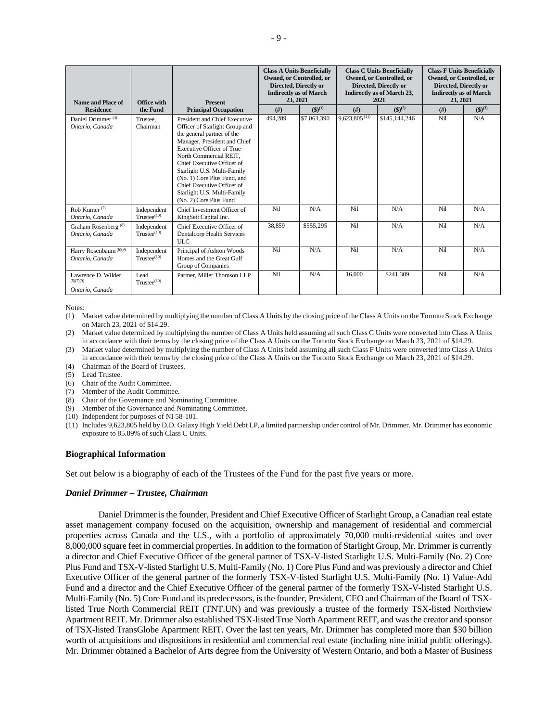| Name and Place of                                    | Office with                                           | <b>Present</b>                                                                                                                                                                                                                                                                                                                                                                 | <b>Class A Units Beneficially</b><br><b>Owned, or Controlled, or</b><br>Directed, Directly or<br><b>Indirectly as of March</b><br>23, 2021 |                   |                             | <b>Class C Units Beneficially</b><br><b>Owned, or Controlled, or</b><br>Directed, Directly or<br><b>Indirectly as of March 23,</b><br>2021 | <b>Class F Units Beneficially</b><br><b>Owned, or Controlled, or</b><br>Directed, Directly or<br><b>Indirectly as of March</b><br>23, 2021 |                   |
|------------------------------------------------------|-------------------------------------------------------|--------------------------------------------------------------------------------------------------------------------------------------------------------------------------------------------------------------------------------------------------------------------------------------------------------------------------------------------------------------------------------|--------------------------------------------------------------------------------------------------------------------------------------------|-------------------|-----------------------------|--------------------------------------------------------------------------------------------------------------------------------------------|--------------------------------------------------------------------------------------------------------------------------------------------|-------------------|
| <b>Residence</b>                                     | the Fund                                              | <b>Principal Occupation</b>                                                                                                                                                                                                                                                                                                                                                    | (f#)                                                                                                                                       | $({\bf 3})^{(1)}$ | (f#)                        | $({\bf \$})^{(2)}$                                                                                                                         | (f#)                                                                                                                                       | $({\bf 3})^{(3)}$ |
| Daniel Drimmer <sup>(4)</sup><br>Ontario, Canada     | Trustee.<br>Chairman                                  | President and Chief Executive<br>Officer of Starlight Group and<br>the general partner of the<br>Manager, President and Chief<br><b>Executive Officer of True</b><br>North Commercial REIT,<br>Chief Executive Officer of<br>Starlight U.S. Multi-Family<br>(No. 1) Core Plus Fund, and<br>Chief Executive Officer of<br>Starlight U.S. Multi-Family<br>(No. 2) Core Plus Fund | 494,289                                                                                                                                    | \$7,063,390       | $9,623,805$ <sup>(11)</sup> | \$145,144,246                                                                                                                              | Nil                                                                                                                                        | N/A               |
| Rob Kumer <sup>(7)</sup><br>Ontario, Canada          | Independent<br>$T$ rustee $^{(10)}$                   | Chief Investment Officer of<br>KingSett Capital Inc.                                                                                                                                                                                                                                                                                                                           | Nil                                                                                                                                        | N/A               | Nil                         | N/A                                                                                                                                        | Ni1                                                                                                                                        | N/A               |
| Graham Rosenberg <sup>(8)</sup><br>Ontario, Canada   | Independent<br>$Trustee$ <sup><math>(10)</math></sup> | Chief Executive Officer of<br>Dentalcorp Health Services<br><b>ULC</b>                                                                                                                                                                                                                                                                                                         | 38.859                                                                                                                                     | \$555,295         | Ni1                         | N/A                                                                                                                                        | Ni1                                                                                                                                        | N/A               |
| Harry Rosenbaum <sup>(6)(9)</sup><br>Ontario, Canada | Independent<br>Trustee <sup>(10)</sup>                | Principal of Ashton Woods<br>Homes and the Great Gulf<br>Group of Companies                                                                                                                                                                                                                                                                                                    | Nil                                                                                                                                        | N/A               | Nil                         | N/A                                                                                                                                        | Nil                                                                                                                                        | N/A               |
| Lawrence D. Wilder<br>(5)(7)(9)<br>Ontario, Canada   | Lead<br>Trustee <sup>(10)</sup>                       | Partner, Miller Thomson LLP                                                                                                                                                                                                                                                                                                                                                    | Nil                                                                                                                                        | N/A               | 16,000                      | \$241.309                                                                                                                                  | Nil                                                                                                                                        | N/A               |

 $\overline{\phantom{a}}$ Notes:

(1) Market value determined by multiplying the number of Class A Units by the closing price of the Class A Units on the Toronto Stock Exchange on March 23, 2021 of \$14.29.

(2) Market value determined by multiplying the number of Class A Units held assuming all such Class C Units were converted into Class A Units in accordance with their terms by the closing price of the Class A Units on the Toronto Stock Exchange on March 23, 2021 of \$14.29.

(3) Market value determined by multiplying the number of Class A Units held assuming all such Class F Units were converted into Class A Units in accordance with their terms by the closing price of the Class A Units on the Toronto Stock Exchange on March 23, 2021 of \$14.29.

- (4) Chairman of the Board of Trustees.
- (5) Lead Trustee.
- (6) Chair of the Audit Committee.
- (7) Member of the Audit Committee.
- (8) Chair of the Governance and Nominating Committee.
- (9) Member of the Governance and Nominating Committee.

(10) Independent for purposes of NI 58-101.

(11) Includes 9,623,805 held by D.D. Galaxy High Yield Debt LP, a limited partnership under control of Mr. Drimmer. Mr. Drimmer has economic exposure to 85.89% of such Class C Units.

### **Biographical Information**

Set out below is a biography of each of the Trustees of the Fund for the past five years or more.

### *Daniel Drimmer – Trustee, Chairman*

Daniel Drimmer is the founder, President and Chief Executive Officer of Starlight Group, a Canadian real estate asset management company focused on the acquisition, ownership and management of residential and commercial properties across Canada and the U.S., with a portfolio of approximately 70,000 multi-residential suites and over 8,000,000 square feet in commercial properties. In addition to the formation of Starlight Group, Mr. Drimmer is currently a director and Chief Executive Officer of the general partner of TSX-V-listed Starlight U.S. Multi-Family (No. 2) Core Plus Fund and TSX-V-listed Starlight U.S. Multi-Family (No. 1) Core Plus Fund and was previously a director and Chief Executive Officer of the general partner of the formerly TSX-V-listed Starlight U.S. Multi-Family (No. 1) Value-Add Fund and a director and the Chief Executive Officer of the general partner of the formerly TSX-V-listed Starlight U.S. Multi-Family (No. 5) Core Fund and its predecessors, is the founder, President, CEO and Chairman of the Board of TSXlisted True North Commercial REIT (TNT.UN) and was previously a trustee of the formerly TSX-listed Northview Apartment REIT. Mr. Drimmer also established TSX-listed True North Apartment REIT, and was the creator and sponsor of TSX-listed TransGlobe Apartment REIT. Over the last ten years, Mr. Drimmer has completed more than \$30 billion worth of acquisitions and dispositions in residential and commercial real estate (including nine initial public offerings). Mr. Drimmer obtained a Bachelor of Arts degree from the University of Western Ontario, and both a Master of Business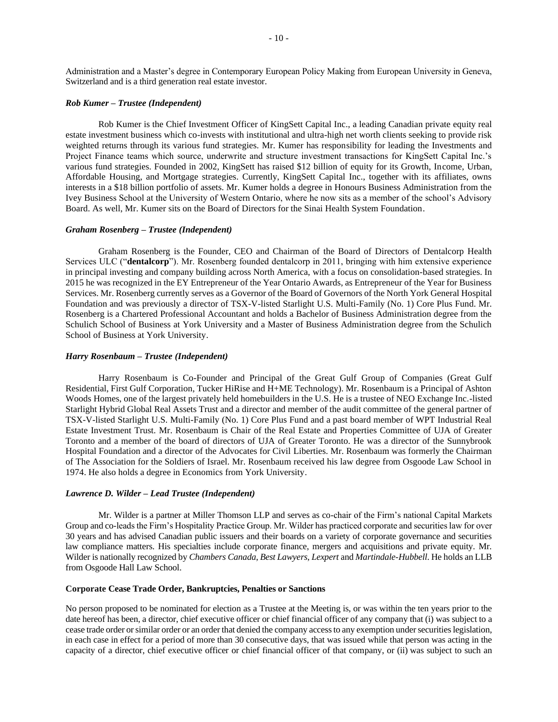Administration and a Master's degree in Contemporary European Policy Making from European University in Geneva, Switzerland and is a third generation real estate investor.

#### *Rob Kumer – Trustee (Independent)*

Rob Kumer is the Chief Investment Officer of KingSett Capital Inc., a leading Canadian private equity real estate investment business which co-invests with institutional and ultra-high net worth clients seeking to provide risk weighted returns through its various fund strategies. Mr. Kumer has responsibility for leading the Investments and Project Finance teams which source, underwrite and structure investment transactions for KingSett Capital Inc.'s various fund strategies. Founded in 2002, KingSett has raised \$12 billion of equity for its Growth, Income, Urban, Affordable Housing, and Mortgage strategies. Currently, KingSett Capital Inc., together with its affiliates, owns interests in a \$18 billion portfolio of assets. Mr. Kumer holds a degree in Honours Business Administration from the Ivey Business School at the University of Western Ontario, where he now sits as a member of the school's Advisory Board. As well, Mr. Kumer sits on the Board of Directors for the Sinai Health System Foundation.

#### *Graham Rosenberg – Trustee (Independent)*

Graham Rosenberg is the Founder, CEO and Chairman of the Board of Directors of Dentalcorp Health Services ULC ("**dentalcorp**"). Mr. Rosenberg founded dentalcorp in 2011, bringing with him extensive experience in principal investing and company building across North America, with a focus on consolidation-based strategies. In 2015 he was recognized in the EY Entrepreneur of the Year Ontario Awards, as Entrepreneur of the Year for Business Services. Mr. Rosenberg currently serves as a Governor of the Board of Governors of the North York General Hospital Foundation and was previously a director of TSX-V-listed Starlight U.S. Multi-Family (No. 1) Core Plus Fund. Mr. Rosenberg is a Chartered Professional Accountant and holds a Bachelor of Business Administration degree from the Schulich School of Business at York University and a Master of Business Administration degree from the Schulich School of Business at York University.

#### *Harry Rosenbaum – Trustee (Independent)*

Harry Rosenbaum is Co-Founder and Principal of the Great Gulf Group of Companies (Great Gulf Residential, First Gulf Corporation, Tucker HiRise and H+ME Technology). Mr. Rosenbaum is a Principal of Ashton Woods Homes, one of the largest privately held homebuilders in the U.S. He is a trustee of NEO Exchange Inc.-listed Starlight Hybrid Global Real Assets Trust and a director and member of the audit committee of the general partner of TSX-V-listed Starlight U.S. Multi-Family (No. 1) Core Plus Fund and a past board member of WPT Industrial Real Estate Investment Trust. Mr. Rosenbaum is Chair of the Real Estate and Properties Committee of UJA of Greater Toronto and a member of the board of directors of UJA of Greater Toronto. He was a director of the Sunnybrook Hospital Foundation and a director of the Advocates for Civil Liberties. Mr. Rosenbaum was formerly the Chairman of The Association for the Soldiers of Israel. Mr. Rosenbaum received his law degree from Osgoode Law School in 1974. He also holds a degree in Economics from York University.

#### *Lawrence D. Wilder – Lead Trustee (Independent)*

Mr. Wilder is a partner at Miller Thomson LLP and serves as co-chair of the Firm's national Capital Markets Group and co-leads the Firm's Hospitality Practice Group. Mr. Wilder has practiced corporate and securities law for over 30 years and has advised Canadian public issuers and their boards on a variety of corporate governance and securities law compliance matters. His specialties include corporate finance, mergers and acquisitions and private equity. Mr. Wilder is nationally recognized by *Chambers Canada*, *Best Lawyers*, *Lexpert* and *Martindale-Hubbell*. He holds an LLB from Osgoode Hall Law School.

#### **Corporate Cease Trade Order, Bankruptcies, Penalties or Sanctions**

No person proposed to be nominated for election as a Trustee at the Meeting is, or was within the ten years prior to the date hereof has been, a director, chief executive officer or chief financial officer of any company that (i) was subject to a cease trade order or similar order or an order that denied the company accessto any exemption under securities legislation, in each case in effect for a period of more than 30 consecutive days, that was issued while that person was acting in the capacity of a director, chief executive officer or chief financial officer of that company, or (ii) was subject to such an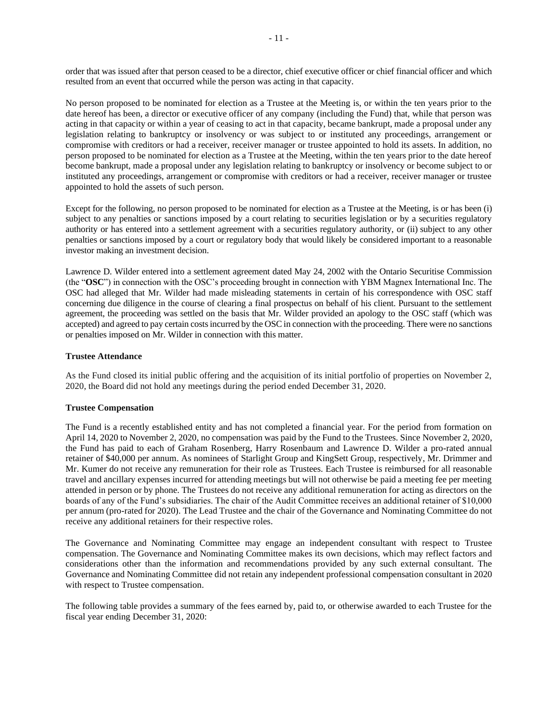order that was issued after that person ceased to be a director, chief executive officer or chief financial officer and which resulted from an event that occurred while the person was acting in that capacity.

No person proposed to be nominated for election as a Trustee at the Meeting is, or within the ten years prior to the date hereof has been, a director or executive officer of any company (including the Fund) that, while that person was acting in that capacity or within a year of ceasing to act in that capacity, became bankrupt, made a proposal under any legislation relating to bankruptcy or insolvency or was subject to or instituted any proceedings, arrangement or compromise with creditors or had a receiver, receiver manager or trustee appointed to hold its assets. In addition, no person proposed to be nominated for election as a Trustee at the Meeting, within the ten years prior to the date hereof become bankrupt, made a proposal under any legislation relating to bankruptcy or insolvency or become subject to or instituted any proceedings, arrangement or compromise with creditors or had a receiver, receiver manager or trustee appointed to hold the assets of such person.

Except for the following, no person proposed to be nominated for election as a Trustee at the Meeting, is or has been (i) subject to any penalties or sanctions imposed by a court relating to securities legislation or by a securities regulatory authority or has entered into a settlement agreement with a securities regulatory authority, or (ii) subject to any other penalties or sanctions imposed by a court or regulatory body that would likely be considered important to a reasonable investor making an investment decision.

Lawrence D. Wilder entered into a settlement agreement dated May 24, 2002 with the Ontario Securitise Commission (the "**OSC**") in connection with the OSC's proceeding brought in connection with YBM Magnex International Inc. The OSC had alleged that Mr. Wilder had made misleading statements in certain of his correspondence with OSC staff concerning due diligence in the course of clearing a final prospectus on behalf of his client. Pursuant to the settlement agreement, the proceeding was settled on the basis that Mr. Wilder provided an apology to the OSC staff (which was accepted) and agreed to pay certain costs incurred by the OSC in connection with the proceeding. There were no sanctions or penalties imposed on Mr. Wilder in connection with this matter.

## **Trustee Attendance**

As the Fund closed its initial public offering and the acquisition of its initial portfolio of properties on November 2, 2020, the Board did not hold any meetings during the period ended December 31, 2020.

### **Trustee Compensation**

The Fund is a recently established entity and has not completed a financial year. For the period from formation on April 14, 2020 to November 2, 2020, no compensation was paid by the Fund to the Trustees. Since November 2, 2020, the Fund has paid to each of Graham Rosenberg, Harry Rosenbaum and Lawrence D. Wilder a pro-rated annual retainer of \$40,000 per annum. As nominees of Starlight Group and KingSett Group, respectively, Mr. Drimmer and Mr. Kumer do not receive any remuneration for their role as Trustees. Each Trustee is reimbursed for all reasonable travel and ancillary expenses incurred for attending meetings but will not otherwise be paid a meeting fee per meeting attended in person or by phone. The Trustees do not receive any additional remuneration for acting as directors on the boards of any of the Fund's subsidiaries. The chair of the Audit Committee receives an additional retainer of \$10,000 per annum (pro-rated for 2020). The Lead Trustee and the chair of the Governance and Nominating Committee do not receive any additional retainers for their respective roles.

The Governance and Nominating Committee may engage an independent consultant with respect to Trustee compensation. The Governance and Nominating Committee makes its own decisions, which may reflect factors and considerations other than the information and recommendations provided by any such external consultant. The Governance and Nominating Committee did not retain any independent professional compensation consultant in 2020 with respect to Trustee compensation.

The following table provides a summary of the fees earned by, paid to, or otherwise awarded to each Trustee for the fiscal year ending December 31, 2020: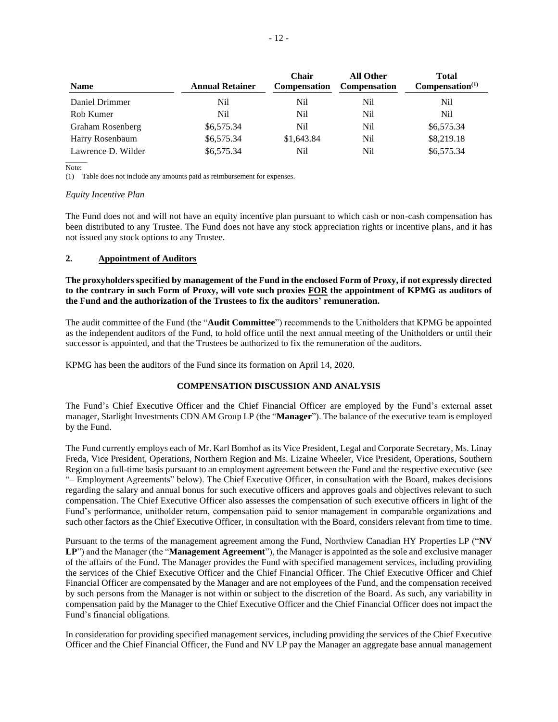| <b>Name</b>        | <b>Annual Retainer</b> | Chair<br><b>Compensation</b> | <b>All Other</b><br><b>Compensation</b> | <b>Total</b><br>Compensation <sup>(1)</sup> |
|--------------------|------------------------|------------------------------|-----------------------------------------|---------------------------------------------|
| Daniel Drimmer     | Nil                    | Nil                          | Nil                                     | Nil                                         |
| Rob Kumer          | Nil                    | Nil                          | Nil                                     | Nil                                         |
| Graham Rosenberg   | \$6,575.34             | Nil                          | Nil                                     | \$6,575.34                                  |
| Harry Rosenbaum    | \$6,575.34             | \$1,643.84                   | Nil                                     | \$8,219.18                                  |
| Lawrence D. Wilder | \$6,575.34             | Nil                          | Nil                                     | \$6,575.34                                  |

 $\sim$ Note:

(1) Table does not include any amounts paid as reimbursement for expenses.

#### *Equity Incentive Plan*

The Fund does not and will not have an equity incentive plan pursuant to which cash or non-cash compensation has been distributed to any Trustee. The Fund does not have any stock appreciation rights or incentive plans, and it has not issued any stock options to any Trustee.

## **2. Appointment of Auditors**

**The proxyholders specified by management of the Fund in the enclosed Form of Proxy, if not expressly directed to the contrary in such Form of Proxy, will vote such proxies FOR the appointment of KPMG as auditors of the Fund and the authorization of the Trustees to fix the auditors' remuneration.**

The audit committee of the Fund (the "**Audit Committee**") recommends to the Unitholders that KPMG be appointed as the independent auditors of the Fund, to hold office until the next annual meeting of the Unitholders or until their successor is appointed, and that the Trustees be authorized to fix the remuneration of the auditors.

KPMG has been the auditors of the Fund since its formation on April 14, 2020.

## **COMPENSATION DISCUSSION AND ANALYSIS**

The Fund's Chief Executive Officer and the Chief Financial Officer are employed by the Fund's external asset manager, Starlight Investments CDN AM Group LP (the "**Manager**"). The balance of the executive team is employed by the Fund.

The Fund currently employs each of Mr. Karl Bomhof as its Vice President, Legal and Corporate Secretary, Ms. Linay Freda, Vice President, Operations, Northern Region and Ms. Lizaine Wheeler, Vice President, Operations, Southern Region on a full-time basis pursuant to an employment agreement between the Fund and the respective executive (see "– Employment Agreements" below). The Chief Executive Officer, in consultation with the Board, makes decisions regarding the salary and annual bonus for such executive officers and approves goals and objectives relevant to such compensation. The Chief Executive Officer also assesses the compensation of such executive officers in light of the Fund's performance, unitholder return, compensation paid to senior management in comparable organizations and such other factors as the Chief Executive Officer, in consultation with the Board, considers relevant from time to time.

Pursuant to the terms of the management agreement among the Fund, Northview Canadian HY Properties LP ("**NV LP**") and the Manager (the "**Management Agreement**"), the Manager is appointed as the sole and exclusive manager of the affairs of the Fund. The Manager provides the Fund with specified management services, including providing the services of the Chief Executive Officer and the Chief Financial Officer. The Chief Executive Officer and Chief Financial Officer are compensated by the Manager and are not employees of the Fund, and the compensation received by such persons from the Manager is not within or subject to the discretion of the Board. As such, any variability in compensation paid by the Manager to the Chief Executive Officer and the Chief Financial Officer does not impact the Fund's financial obligations.

In consideration for providing specified management services, including providing the services of the Chief Executive Officer and the Chief Financial Officer, the Fund and NV LP pay the Manager an aggregate base annual management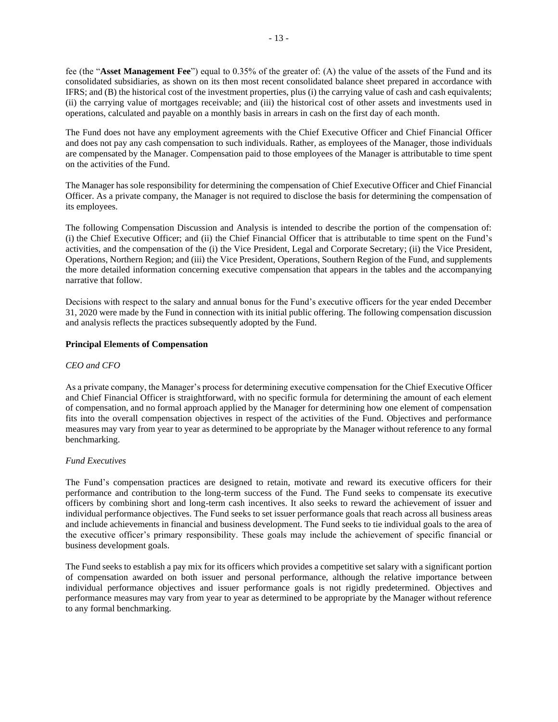fee (the "**Asset Management Fee**") equal to 0.35% of the greater of: (A) the value of the assets of the Fund and its consolidated subsidiaries, as shown on its then most recent consolidated balance sheet prepared in accordance with IFRS; and (B) the historical cost of the investment properties, plus (i) the carrying value of cash and cash equivalents; (ii) the carrying value of mortgages receivable; and (iii) the historical cost of other assets and investments used in operations, calculated and payable on a monthly basis in arrears in cash on the first day of each month.

The Fund does not have any employment agreements with the Chief Executive Officer and Chief Financial Officer and does not pay any cash compensation to such individuals. Rather, as employees of the Manager, those individuals are compensated by the Manager. Compensation paid to those employees of the Manager is attributable to time spent on the activities of the Fund.

The Manager has sole responsibility for determining the compensation of Chief Executive Officer and Chief Financial Officer. As a private company, the Manager is not required to disclose the basis for determining the compensation of its employees.

The following Compensation Discussion and Analysis is intended to describe the portion of the compensation of: (i) the Chief Executive Officer; and (ii) the Chief Financial Officer that is attributable to time spent on the Fund's activities, and the compensation of the (i) the Vice President, Legal and Corporate Secretary; (ii) the Vice President, Operations, Northern Region; and (iii) the Vice President, Operations, Southern Region of the Fund, and supplements the more detailed information concerning executive compensation that appears in the tables and the accompanying narrative that follow.

Decisions with respect to the salary and annual bonus for the Fund's executive officers for the year ended December 31, 2020 were made by the Fund in connection with its initial public offering. The following compensation discussion and analysis reflects the practices subsequently adopted by the Fund.

## **Principal Elements of Compensation**

### *CEO and CFO*

As a private company, the Manager's process for determining executive compensation for the Chief Executive Officer and Chief Financial Officer is straightforward, with no specific formula for determining the amount of each element of compensation, and no formal approach applied by the Manager for determining how one element of compensation fits into the overall compensation objectives in respect of the activities of the Fund. Objectives and performance measures may vary from year to year as determined to be appropriate by the Manager without reference to any formal benchmarking.

### *Fund Executives*

The Fund's compensation practices are designed to retain, motivate and reward its executive officers for their performance and contribution to the long-term success of the Fund. The Fund seeks to compensate its executive officers by combining short and long-term cash incentives. It also seeks to reward the achievement of issuer and individual performance objectives. The Fund seeks to set issuer performance goals that reach across all business areas and include achievements in financial and business development. The Fund seeks to tie individual goals to the area of the executive officer's primary responsibility. These goals may include the achievement of specific financial or business development goals.

The Fund seeks to establish a pay mix for its officers which provides a competitive set salary with a significant portion of compensation awarded on both issuer and personal performance, although the relative importance between individual performance objectives and issuer performance goals is not rigidly predetermined. Objectives and performance measures may vary from year to year as determined to be appropriate by the Manager without reference to any formal benchmarking.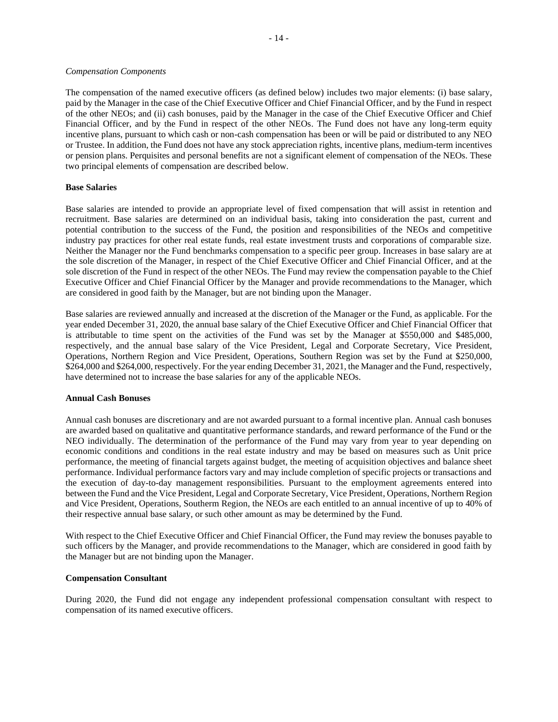#### *Compensation Components*

The compensation of the named executive officers (as defined below) includes two major elements: (i) base salary, paid by the Manager in the case of the Chief Executive Officer and Chief Financial Officer, and by the Fund in respect of the other NEOs; and (ii) cash bonuses, paid by the Manager in the case of the Chief Executive Officer and Chief Financial Officer, and by the Fund in respect of the other NEOs. The Fund does not have any long-term equity incentive plans, pursuant to which cash or non-cash compensation has been or will be paid or distributed to any NEO or Trustee. In addition, the Fund does not have any stock appreciation rights, incentive plans, medium-term incentives or pension plans. Perquisites and personal benefits are not a significant element of compensation of the NEOs. These two principal elements of compensation are described below.

#### **Base Salaries**

Base salaries are intended to provide an appropriate level of fixed compensation that will assist in retention and recruitment. Base salaries are determined on an individual basis, taking into consideration the past, current and potential contribution to the success of the Fund, the position and responsibilities of the NEOs and competitive industry pay practices for other real estate funds, real estate investment trusts and corporations of comparable size. Neither the Manager nor the Fund benchmarks compensation to a specific peer group. Increases in base salary are at the sole discretion of the Manager, in respect of the Chief Executive Officer and Chief Financial Officer, and at the sole discretion of the Fund in respect of the other NEOs. The Fund may review the compensation payable to the Chief Executive Officer and Chief Financial Officer by the Manager and provide recommendations to the Manager, which are considered in good faith by the Manager, but are not binding upon the Manager.

Base salaries are reviewed annually and increased at the discretion of the Manager or the Fund, as applicable. For the year ended December 31, 2020, the annual base salary of the Chief Executive Officer and Chief Financial Officer that is attributable to time spent on the activities of the Fund was set by the Manager at \$550,000 and \$485,000, respectively, and the annual base salary of the Vice President, Legal and Corporate Secretary, Vice President, Operations, Northern Region and Vice President, Operations, Southern Region was set by the Fund at \$250,000, \$264,000 and \$264,000, respectively. For the year ending December 31, 2021, the Manager and the Fund, respectively, have determined not to increase the base salaries for any of the applicable NEOs.

#### **Annual Cash Bonuses**

Annual cash bonuses are discretionary and are not awarded pursuant to a formal incentive plan. Annual cash bonuses are awarded based on qualitative and quantitative performance standards, and reward performance of the Fund or the NEO individually. The determination of the performance of the Fund may vary from year to year depending on economic conditions and conditions in the real estate industry and may be based on measures such as Unit price performance, the meeting of financial targets against budget, the meeting of acquisition objectives and balance sheet performance. Individual performance factors vary and may include completion of specific projects or transactions and the execution of day-to-day management responsibilities. Pursuant to the employment agreements entered into between the Fund and the Vice President, Legal and Corporate Secretary, Vice President, Operations, Northern Region and Vice President, Operations, Southerm Region, the NEOs are each entitled to an annual incentive of up to 40% of their respective annual base salary, or such other amount as may be determined by the Fund.

With respect to the Chief Executive Officer and Chief Financial Officer, the Fund may review the bonuses payable to such officers by the Manager, and provide recommendations to the Manager, which are considered in good faith by the Manager but are not binding upon the Manager.

### **Compensation Consultant**

During 2020, the Fund did not engage any independent professional compensation consultant with respect to compensation of its named executive officers.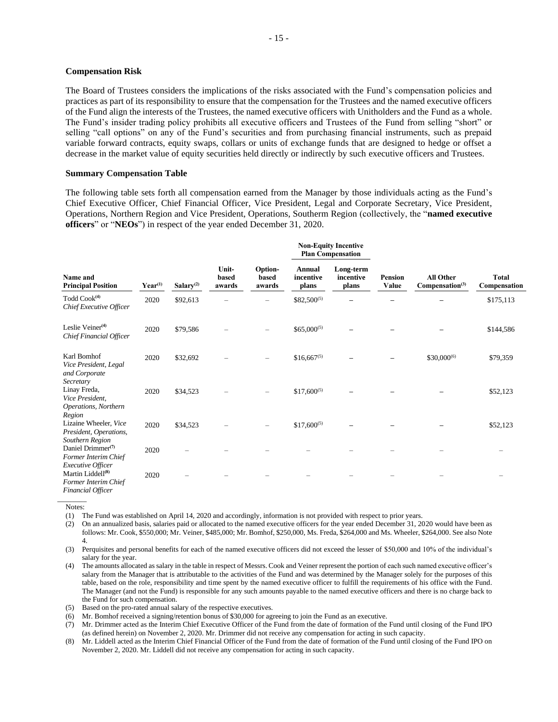#### **Compensation Risk**

The Board of Trustees considers the implications of the risks associated with the Fund's compensation policies and practices as part of its responsibility to ensure that the compensation for the Trustees and the named executive officers of the Fund align the interests of the Trustees, the named executive officers with Unitholders and the Fund as a whole. The Fund's insider trading policy prohibits all executive officers and Trustees of the Fund from selling "short" or selling "call options" on any of the Fund's securities and from purchasing financial instruments, such as prepaid variable forward contracts, equity swaps, collars or units of exchange funds that are designed to hedge or offset a decrease in the market value of equity securities held directly or indirectly by such executive officers and Trustees.

#### **Summary Compensation Table**

The following table sets forth all compensation earned from the Manager by those individuals acting as the Fund's Chief Executive Officer, Chief Financial Officer, Vice President, Legal and Corporate Secretary, Vice President, Operations, Northern Region and Vice President, Operations, Southerm Region (collectively, the "**named executive officers**" or "**NEOs**") in respect of the year ended December 31, 2020.

|                                                                                                      |              |                       | Unit-<br>based<br>awards | Option-<br>based<br>awards | <b>Non-Equity Incentive</b><br><b>Plan Compensation</b> |                                 |                         |                                                 |                              |
|------------------------------------------------------------------------------------------------------|--------------|-----------------------|--------------------------|----------------------------|---------------------------------------------------------|---------------------------------|-------------------------|-------------------------------------------------|------------------------------|
| Name and<br><b>Principal Position</b>                                                                | $Year^{(1)}$ | Salary <sup>(2)</sup> |                          |                            | <b>Annual</b><br>incentive<br>plans                     | Long-term<br>incentive<br>plans | <b>Pension</b><br>Value | <b>All Other</b><br>Compensation <sup>(3)</sup> | <b>Total</b><br>Compensation |
| Todd Cook <sup>(4)</sup><br>Chief Executive Officer                                                  | 2020         | \$92,613              |                          |                            | $$82,500^{(5)}$                                         |                                 |                         |                                                 | \$175,113                    |
| Leslie Veiner <sup>(4)</sup><br>Chief Financial Officer                                              | 2020         | \$79,586              |                          |                            | $$65,000^{(5)}$$                                        |                                 |                         |                                                 | \$144,586                    |
| Karl Bomhof<br>Vice President, Legal<br>and Corporate                                                | 2020         | \$32,692              |                          |                            | $$16,667^{(5)}$                                         |                                 |                         | $$30,000^{(6)}$                                 | \$79,359                     |
| Secretary<br>Linay Freda,<br>Vice President,<br>Operations, Northern                                 | 2020         | \$34,523              |                          |                            | $$17,600^{(5)}$                                         |                                 |                         |                                                 | \$52,123                     |
| Region<br>Lizaine Wheeler, Vice<br>President, Operations,                                            | 2020         | \$34,523              |                          |                            | $$17,600^{(5)}$                                         |                                 |                         |                                                 | \$52,123                     |
| Southern Region<br>Daniel Drimmer <sup>(7)</sup><br>Former Interim Chief<br><i>Executive Officer</i> | 2020         |                       |                          |                            |                                                         |                                 |                         |                                                 |                              |
| Martin Liddell <sup>(8)</sup><br>Former Interim Chief                                                | 2020         |                       |                          |                            |                                                         |                                 |                         |                                                 |                              |

*Financial Officer*

 $\overline{\phantom{a}}$ Notes:

(1) The Fund was established on April 14, 2020 and accordingly, information is not provided with respect to prior years.

(2) On an annualized basis, salaries paid or allocated to the named executive officers for the year ended December 31, 2020 would have been as follows: Mr. Cook, \$550,000; Mr. Veiner, \$485,000; Mr. Bomhof, \$250,000, Ms. Freda, \$264,000 and Ms. Wheeler, \$264,000. See also Note 4.

(3) Perquisites and personal benefits for each of the named executive officers did not exceed the lesser of \$50,000 and 10% of the individual's salary for the year.

(4) The amounts allocated as salary in the table in respect of Messrs. Cook and Veiner represent the portion of each such named executive officer's salary from the Manager that is attributable to the activities of the Fund and was determined by the Manager solely for the purposes of this table, based on the role, responsibility and time spent by the named executive officer to fulfill the requirements of his office with the Fund. The Manager (and not the Fund) is responsible for any such amounts payable to the named executive officers and there is no charge back to the Fund for such compensation.

(5) Based on the pro-rated annual salary of the respective executives.

(6) Mr. Bomhof received a signing/retention bonus of \$30,000 for agreeing to join the Fund as an executive.

(7) Mr. Drimmer acted as the Interim Chief Executive Officer of the Fund from the date of formation of the Fund until closing of the Fund IPO (as defined herein) on November 2, 2020. Mr. Drimmer did not receive any compensation for acting in such capacity.

(8) Mr. Liddell acted as the Interim Chief Financial Officer of the Fund from the date of formation of the Fund until closing of the Fund IPO on November 2, 2020. Mr. Liddell did not receive any compensation for acting in such capacity.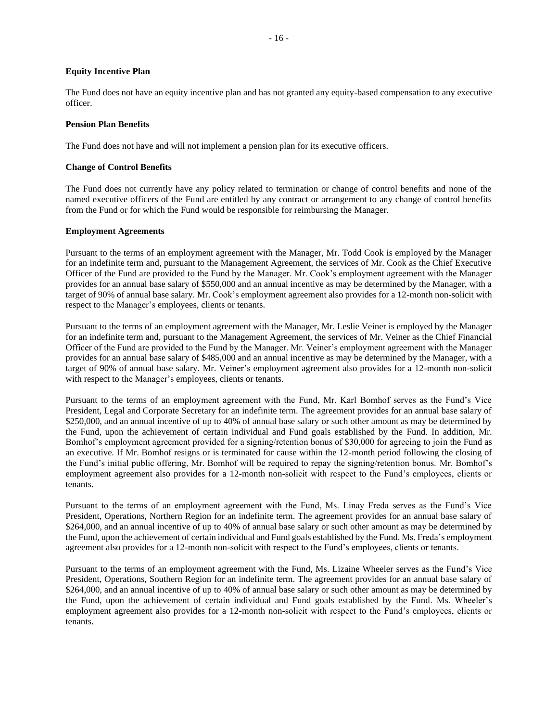#### **Equity Incentive Plan**

The Fund does not have an equity incentive plan and has not granted any equity-based compensation to any executive officer.

#### **Pension Plan Benefits**

The Fund does not have and will not implement a pension plan for its executive officers.

#### **Change of Control Benefits**

The Fund does not currently have any policy related to termination or change of control benefits and none of the named executive officers of the Fund are entitled by any contract or arrangement to any change of control benefits from the Fund or for which the Fund would be responsible for reimbursing the Manager.

#### **Employment Agreements**

Pursuant to the terms of an employment agreement with the Manager, Mr. Todd Cook is employed by the Manager for an indefinite term and, pursuant to the Management Agreement, the services of Mr. Cook as the Chief Executive Officer of the Fund are provided to the Fund by the Manager. Mr. Cook's employment agreement with the Manager provides for an annual base salary of \$550,000 and an annual incentive as may be determined by the Manager, with a target of 90% of annual base salary. Mr. Cook's employment agreement also provides for a 12-month non-solicit with respect to the Manager's employees, clients or tenants.

Pursuant to the terms of an employment agreement with the Manager, Mr. Leslie Veiner is employed by the Manager for an indefinite term and, pursuant to the Management Agreement, the services of Mr. Veiner as the Chief Financial Officer of the Fund are provided to the Fund by the Manager. Mr. Veiner's employment agreement with the Manager provides for an annual base salary of \$485,000 and an annual incentive as may be determined by the Manager, with a target of 90% of annual base salary. Mr. Veiner's employment agreement also provides for a 12-month non-solicit with respect to the Manager's employees, clients or tenants.

Pursuant to the terms of an employment agreement with the Fund, Mr. Karl Bomhof serves as the Fund's Vice President, Legal and Corporate Secretary for an indefinite term. The agreement provides for an annual base salary of \$250,000, and an annual incentive of up to 40% of annual base salary or such other amount as may be determined by the Fund, upon the achievement of certain individual and Fund goals established by the Fund. In addition, Mr. Bomhof's employment agreement provided for a signing/retention bonus of \$30,000 for agreeing to join the Fund as an executive. If Mr. Bomhof resigns or is terminated for cause within the 12-month period following the closing of the Fund's initial public offering, Mr. Bomhof will be required to repay the signing/retention bonus. Mr. Bomhof's employment agreement also provides for a 12-month non-solicit with respect to the Fund's employees, clients or tenants.

Pursuant to the terms of an employment agreement with the Fund, Ms. Linay Freda serves as the Fund's Vice President, Operations, Northern Region for an indefinite term. The agreement provides for an annual base salary of \$264,000, and an annual incentive of up to 40% of annual base salary or such other amount as may be determined by the Fund, upon the achievement of certain individual and Fund goals established by the Fund. Ms. Freda's employment agreement also provides for a 12-month non-solicit with respect to the Fund's employees, clients or tenants.

Pursuant to the terms of an employment agreement with the Fund, Ms. Lizaine Wheeler serves as the Fund's Vice President, Operations, Southern Region for an indefinite term. The agreement provides for an annual base salary of \$264,000, and an annual incentive of up to 40% of annual base salary or such other amount as may be determined by the Fund, upon the achievement of certain individual and Fund goals established by the Fund. Ms. Wheeler's employment agreement also provides for a 12-month non-solicit with respect to the Fund's employees, clients or tenants.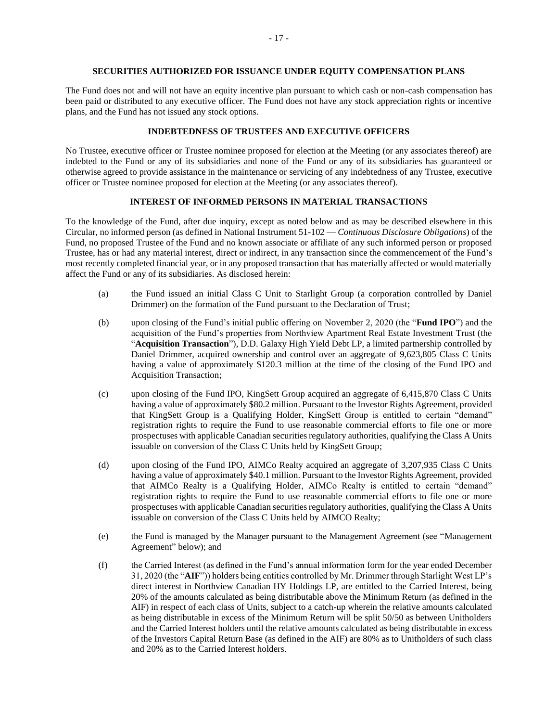#### **SECURITIES AUTHORIZED FOR ISSUANCE UNDER EQUITY COMPENSATION PLANS**

The Fund does not and will not have an equity incentive plan pursuant to which cash or non-cash compensation has been paid or distributed to any executive officer. The Fund does not have any stock appreciation rights or incentive plans, and the Fund has not issued any stock options.

## **INDEBTEDNESS OF TRUSTEES AND EXECUTIVE OFFICERS**

No Trustee, executive officer or Trustee nominee proposed for election at the Meeting (or any associates thereof) are indebted to the Fund or any of its subsidiaries and none of the Fund or any of its subsidiaries has guaranteed or otherwise agreed to provide assistance in the maintenance or servicing of any indebtedness of any Trustee, executive officer or Trustee nominee proposed for election at the Meeting (or any associates thereof).

### **INTEREST OF INFORMED PERSONS IN MATERIAL TRANSACTIONS**

To the knowledge of the Fund, after due inquiry, except as noted below and as may be described elsewhere in this Circular, no informed person (as defined in National Instrument 51-102 — *Continuous Disclosure Obligations*) of the Fund, no proposed Trustee of the Fund and no known associate or affiliate of any such informed person or proposed Trustee, has or had any material interest, direct or indirect, in any transaction since the commencement of the Fund's most recently completed financial year, or in any proposed transaction that has materially affected or would materially affect the Fund or any of its subsidiaries. As disclosed herein:

- (a) the Fund issued an initial Class C Unit to Starlight Group (a corporation controlled by Daniel Drimmer) on the formation of the Fund pursuant to the Declaration of Trust;
- (b) upon closing of the Fund's initial public offering on November 2, 2020 (the "**Fund IPO**") and the acquisition of the Fund's properties from Northview Apartment Real Estate Investment Trust (the "**Acquisition Transaction**"), D.D. Galaxy High Yield Debt LP, a limited partnership controlled by Daniel Drimmer, acquired ownership and control over an aggregate of 9,623,805 Class C Units having a value of approximately \$120.3 million at the time of the closing of the Fund IPO and Acquisition Transaction;
- (c) upon closing of the Fund IPO, KingSett Group acquired an aggregate of 6,415,870 Class C Units having a value of approximately \$80.2 million. Pursuant to the Investor Rights Agreement, provided that KingSett Group is a Qualifying Holder, KingSett Group is entitled to certain "demand" registration rights to require the Fund to use reasonable commercial efforts to file one or more prospectuses with applicable Canadian securities regulatory authorities, qualifying the Class A Units issuable on conversion of the Class C Units held by KingSett Group;
- (d) upon closing of the Fund IPO, AIMCo Realty acquired an aggregate of 3,207,935 Class C Units having a value of approximately \$40.1 million. Pursuant to the Investor Rights Agreement, provided that AIMCo Realty is a Qualifying Holder, AIMCo Realty is entitled to certain "demand" registration rights to require the Fund to use reasonable commercial efforts to file one or more prospectuses with applicable Canadian securities regulatory authorities, qualifying the Class A Units issuable on conversion of the Class C Units held by AIMCO Realty;
- (e) the Fund is managed by the Manager pursuant to the Management Agreement (see "Management Agreement" below); and
- (f) the Carried Interest (as defined in the Fund's annual information form for the year ended December 31, 2020 (the "**AIF**")) holders being entities controlled by Mr. Drimmer through Starlight West LP's direct interest in Northview Canadian HY Holdings LP, are entitled to the Carried Interest, being 20% of the amounts calculated as being distributable above the Minimum Return (as defined in the AIF) in respect of each class of Units, subject to a catch-up wherein the relative amounts calculated as being distributable in excess of the Minimum Return will be split 50/50 as between Unitholders and the Carried Interest holders until the relative amounts calculated as being distributable in excess of the Investors Capital Return Base (as defined in the AIF) are 80% as to Unitholders of such class and 20% as to the Carried Interest holders.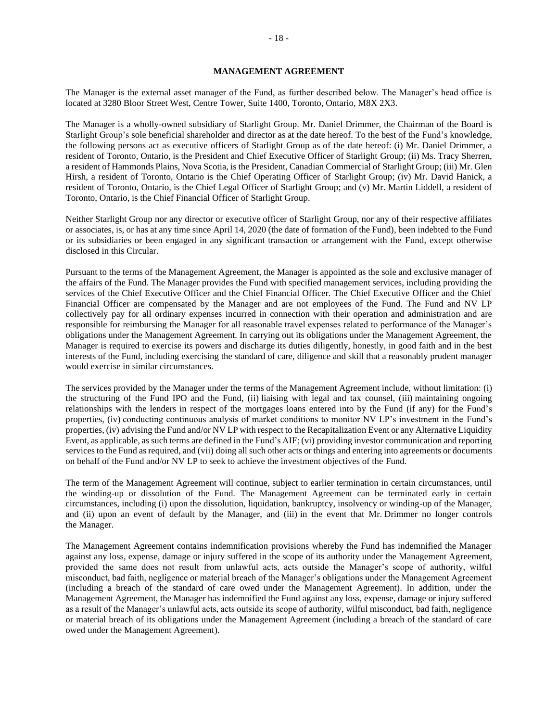#### **MANAGEMENT AGREEMENT**

The Manager is the external asset manager of the Fund, as further described below. The Manager's head office is located at 3280 Bloor Street West, Centre Tower, Suite 1400, Toronto, Ontario, M8X 2X3.

The Manager is a wholly-owned subsidiary of Starlight Group. Mr. Daniel Drimmer, the Chairman of the Board is Starlight Group's sole beneficial shareholder and director as at the date hereof. To the best of the Fund's knowledge, the following persons act as executive officers of Starlight Group as of the date hereof: (i) Mr. Daniel Drimmer, a resident of Toronto, Ontario, is the President and Chief Executive Officer of Starlight Group; (ii) Ms. Tracy Sherren, a resident of Hammonds Plains, Nova Scotia, is the President, Canadian Commercial of Starlight Group; (iii) Mr. Glen Hirsh, a resident of Toronto, Ontario is the Chief Operating Officer of Starlight Group; (iv) Mr. David Hanick, a resident of Toronto, Ontario, is the Chief Legal Officer of Starlight Group; and (v) Mr. Martin Liddell, a resident of Toronto, Ontario, is the Chief Financial Officer of Starlight Group.

Neither Starlight Group nor any director or executive officer of Starlight Group, nor any of their respective affiliates or associates, is, or has at any time since April 14, 2020 (the date of formation of the Fund), been indebted to the Fund or its subsidiaries or been engaged in any significant transaction or arrangement with the Fund, except otherwise disclosed in this Circular.

Pursuant to the terms of the Management Agreement, the Manager is appointed as the sole and exclusive manager of the affairs of the Fund. The Manager provides the Fund with specified management services, including providing the services of the Chief Executive Officer and the Chief Financial Officer. The Chief Executive Officer and the Chief Financial Officer are compensated by the Manager and are not employees of the Fund. The Fund and NV LP collectively pay for all ordinary expenses incurred in connection with their operation and administration and are responsible for reimbursing the Manager for all reasonable travel expenses related to performance of the Manager's obligations under the Management Agreement. In carrying out its obligations under the Management Agreement, the Manager is required to exercise its powers and discharge its duties diligently, honestly, in good faith and in the best interests of the Fund, including exercising the standard of care, diligence and skill that a reasonably prudent manager would exercise in similar circumstances.

The services provided by the Manager under the terms of the Management Agreement include, without limitation: (i) the structuring of the Fund IPO and the Fund, (ii) liaising with legal and tax counsel, (iii) maintaining ongoing relationships with the lenders in respect of the mortgages loans entered into by the Fund (if any) for the Fund's properties, (iv) conducting continuous analysis of market conditions to monitor NV LP's investment in the Fund's properties, (iv) advising the Fund and/or NV LP with respect to the Recapitalization Event or any Alternative Liquidity Event, as applicable, as such terms are defined in the Fund's AIF; (vi) providing investor communication and reporting services to the Fund as required, and (vii) doing all such other acts or things and entering into agreements or documents on behalf of the Fund and/or NV LP to seek to achieve the investment objectives of the Fund.

The term of the Management Agreement will continue, subject to earlier termination in certain circumstances, until the winding-up or dissolution of the Fund. The Management Agreement can be terminated early in certain circumstances, including (i) upon the dissolution, liquidation, bankruptcy, insolvency or winding-up of the Manager, and (ii) upon an event of default by the Manager, and (iii) in the event that Mr. Drimmer no longer controls the Manager.

The Management Agreement contains indemnification provisions whereby the Fund has indemnified the Manager against any loss, expense, damage or injury suffered in the scope of its authority under the Management Agreement, provided the same does not result from unlawful acts, acts outside the Manager's scope of authority, wilful misconduct, bad faith, negligence or material breach of the Manager's obligations under the Management Agreement (including a breach of the standard of care owed under the Management Agreement). In addition, under the Management Agreement, the Manager has indemnified the Fund against any loss, expense, damage or injury suffered as a result of the Manager's unlawful acts, acts outside its scope of authority, wilful misconduct, bad faith, negligence or material breach of its obligations under the Management Agreement (including a breach of the standard of care owed under the Management Agreement).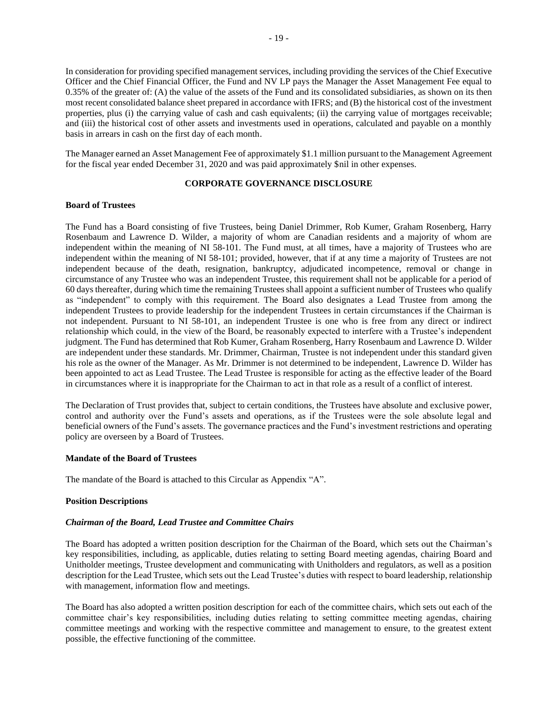In consideration for providing specified management services, including providing the services of the Chief Executive Officer and the Chief Financial Officer, the Fund and NV LP pays the Manager the Asset Management Fee equal to 0.35% of the greater of: (A) the value of the assets of the Fund and its consolidated subsidiaries, as shown on its then most recent consolidated balance sheet prepared in accordance with IFRS; and (B) the historical cost of the investment properties, plus (i) the carrying value of cash and cash equivalents; (ii) the carrying value of mortgages receivable; and (iii) the historical cost of other assets and investments used in operations, calculated and payable on a monthly basis in arrears in cash on the first day of each month.

The Manager earned an Asset Management Fee of approximately \$1.1 million pursuant to the Management Agreement for the fiscal year ended December 31, 2020 and was paid approximately \$nil in other expenses.

### **CORPORATE GOVERNANCE DISCLOSURE**

## **Board of Trustees**

The Fund has a Board consisting of five Trustees, being Daniel Drimmer, Rob Kumer, Graham Rosenberg, Harry Rosenbaum and Lawrence D. Wilder, a majority of whom are Canadian residents and a majority of whom are independent within the meaning of NI 58-101. The Fund must, at all times, have a majority of Trustees who are independent within the meaning of NI 58-101; provided, however, that if at any time a majority of Trustees are not independent because of the death, resignation, bankruptcy, adjudicated incompetence, removal or change in circumstance of any Trustee who was an independent Trustee, this requirement shall not be applicable for a period of 60 days thereafter, during which time the remaining Trustees shall appoint a sufficient number of Trustees who qualify as "independent" to comply with this requirement. The Board also designates a Lead Trustee from among the independent Trustees to provide leadership for the independent Trustees in certain circumstances if the Chairman is not independent. Pursuant to NI 58-101, an independent Trustee is one who is free from any direct or indirect relationship which could, in the view of the Board, be reasonably expected to interfere with a Trustee's independent judgment. The Fund has determined that Rob Kumer, Graham Rosenberg, Harry Rosenbaum and Lawrence D. Wilder are independent under these standards. Mr. Drimmer, Chairman, Trustee is not independent under this standard given his role as the owner of the Manager. As Mr. Drimmer is not determined to be independent, Lawrence D. Wilder has been appointed to act as Lead Trustee. The Lead Trustee is responsible for acting as the effective leader of the Board in circumstances where it is inappropriate for the Chairman to act in that role as a result of a conflict of interest.

The Declaration of Trust provides that, subject to certain conditions, the Trustees have absolute and exclusive power, control and authority over the Fund's assets and operations, as if the Trustees were the sole absolute legal and beneficial owners of the Fund's assets. The governance practices and the Fund's investment restrictions and operating policy are overseen by a Board of Trustees.

### **Mandate of the Board of Trustees**

The mandate of the Board is attached to this Circular as Appendix "A".

### **Position Descriptions**

#### *Chairman of the Board, Lead Trustee and Committee Chairs*

The Board has adopted a written position description for the Chairman of the Board, which sets out the Chairman's key responsibilities, including, as applicable, duties relating to setting Board meeting agendas, chairing Board and Unitholder meetings, Trustee development and communicating with Unitholders and regulators, as well as a position description for the Lead Trustee, which sets out the Lead Trustee's duties with respect to board leadership, relationship with management, information flow and meetings.

The Board has also adopted a written position description for each of the committee chairs, which sets out each of the committee chair's key responsibilities, including duties relating to setting committee meeting agendas, chairing committee meetings and working with the respective committee and management to ensure, to the greatest extent possible, the effective functioning of the committee.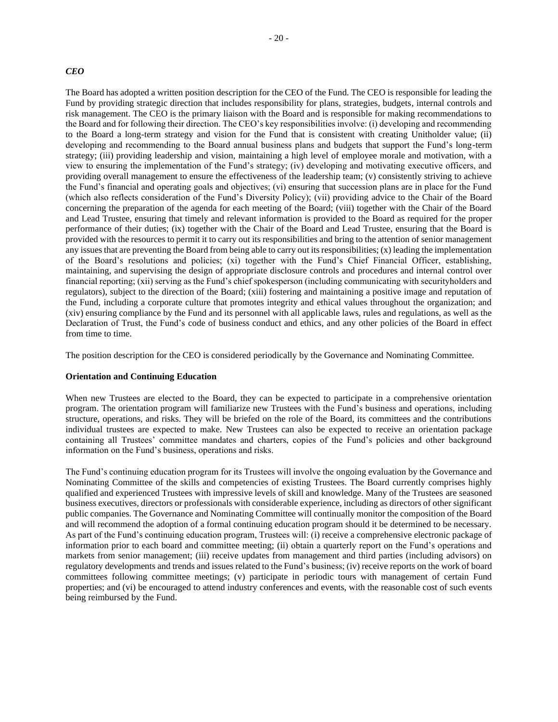#### *CEO*

The Board has adopted a written position description for the CEO of the Fund. The CEO is responsible for leading the Fund by providing strategic direction that includes responsibility for plans, strategies, budgets, internal controls and risk management. The CEO is the primary liaison with the Board and is responsible for making recommendations to the Board and for following their direction. The CEO's key responsibilities involve: (i) developing and recommending to the Board a long-term strategy and vision for the Fund that is consistent with creating Unitholder value; (ii) developing and recommending to the Board annual business plans and budgets that support the Fund's long-term strategy; (iii) providing leadership and vision, maintaining a high level of employee morale and motivation, with a view to ensuring the implementation of the Fund's strategy; (iv) developing and motivating executive officers, and providing overall management to ensure the effectiveness of the leadership team; (v) consistently striving to achieve the Fund's financial and operating goals and objectives; (vi) ensuring that succession plans are in place for the Fund (which also reflects consideration of the Fund's Diversity Policy); (vii) providing advice to the Chair of the Board concerning the preparation of the agenda for each meeting of the Board; (viii) together with the Chair of the Board and Lead Trustee, ensuring that timely and relevant information is provided to the Board as required for the proper performance of their duties; (ix) together with the Chair of the Board and Lead Trustee, ensuring that the Board is provided with the resources to permit it to carry out its responsibilities and bring to the attention of senior management any issues that are preventing the Board from being able to carry out its responsibilities; (x) leading the implementation of the Board's resolutions and policies; (xi) together with the Fund's Chief Financial Officer, establishing, maintaining, and supervising the design of appropriate disclosure controls and procedures and internal control over financial reporting; (xii) serving as the Fund's chief spokesperson (including communicating with securityholders and regulators), subject to the direction of the Board; (xiii) fostering and maintaining a positive image and reputation of the Fund, including a corporate culture that promotes integrity and ethical values throughout the organization; and (xiv) ensuring compliance by the Fund and its personnel with all applicable laws, rules and regulations, as well as the Declaration of Trust, the Fund's code of business conduct and ethics, and any other policies of the Board in effect from time to time.

The position description for the CEO is considered periodically by the Governance and Nominating Committee.

## **Orientation and Continuing Education**

When new Trustees are elected to the Board, they can be expected to participate in a comprehensive orientation program. The orientation program will familiarize new Trustees with the Fund's business and operations, including structure, operations, and risks. They will be briefed on the role of the Board, its committees and the contributions individual trustees are expected to make. New Trustees can also be expected to receive an orientation package containing all Trustees' committee mandates and charters, copies of the Fund's policies and other background information on the Fund's business, operations and risks.

The Fund's continuing education program for its Trustees will involve the ongoing evaluation by the Governance and Nominating Committee of the skills and competencies of existing Trustees. The Board currently comprises highly qualified and experienced Trustees with impressive levels of skill and knowledge. Many of the Trustees are seasoned business executives, directors or professionals with considerable experience, including as directors of other significant public companies. The Governance and Nominating Committee will continually monitor the composition of the Board and will recommend the adoption of a formal continuing education program should it be determined to be necessary. As part of the Fund's continuing education program, Trustees will: (i) receive a comprehensive electronic package of information prior to each board and committee meeting; (ii) obtain a quarterly report on the Fund's operations and markets from senior management; (iii) receive updates from management and third parties (including advisors) on regulatory developments and trends and issues related to the Fund's business; (iv) receive reports on the work of board committees following committee meetings; (v) participate in periodic tours with management of certain Fund properties; and (vi) be encouraged to attend industry conferences and events, with the reasonable cost of such events being reimbursed by the Fund.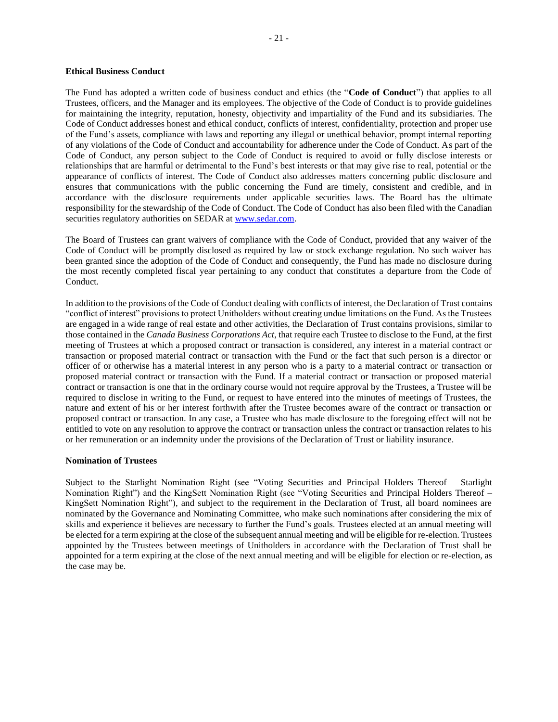## **Ethical Business Conduct**

The Fund has adopted a written code of business conduct and ethics (the "**Code of Conduct**") that applies to all Trustees, officers, and the Manager and its employees. The objective of the Code of Conduct is to provide guidelines for maintaining the integrity, reputation, honesty, objectivity and impartiality of the Fund and its subsidiaries. The Code of Conduct addresses honest and ethical conduct, conflicts of interest, confidentiality, protection and proper use of the Fund's assets, compliance with laws and reporting any illegal or unethical behavior, prompt internal reporting of any violations of the Code of Conduct and accountability for adherence under the Code of Conduct. As part of the Code of Conduct, any person subject to the Code of Conduct is required to avoid or fully disclose interests or relationships that are harmful or detrimental to the Fund's best interests or that may give rise to real, potential or the appearance of conflicts of interest. The Code of Conduct also addresses matters concerning public disclosure and ensures that communications with the public concerning the Fund are timely, consistent and credible, and in accordance with the disclosure requirements under applicable securities laws. The Board has the ultimate responsibility for the stewardship of the Code of Conduct. The Code of Conduct has also been filed with the Canadian securities regulatory authorities on SEDAR at [www.sedar.com.](http://www.sedar.com/)

The Board of Trustees can grant waivers of compliance with the Code of Conduct, provided that any waiver of the Code of Conduct will be promptly disclosed as required by law or stock exchange regulation. No such waiver has been granted since the adoption of the Code of Conduct and consequently, the Fund has made no disclosure during the most recently completed fiscal year pertaining to any conduct that constitutes a departure from the Code of Conduct.

In addition to the provisions of the Code of Conduct dealing with conflicts of interest, the Declaration of Trust contains "conflict of interest" provisions to protect Unitholders without creating undue limitations on the Fund. As the Trustees are engaged in a wide range of real estate and other activities, the Declaration of Trust contains provisions, similar to those contained in the *Canada Business Corporations Act*, that require each Trustee to disclose to the Fund, at the first meeting of Trustees at which a proposed contract or transaction is considered, any interest in a material contract or transaction or proposed material contract or transaction with the Fund or the fact that such person is a director or officer of or otherwise has a material interest in any person who is a party to a material contract or transaction or proposed material contract or transaction with the Fund. If a material contract or transaction or proposed material contract or transaction is one that in the ordinary course would not require approval by the Trustees, a Trustee will be required to disclose in writing to the Fund, or request to have entered into the minutes of meetings of Trustees, the nature and extent of his or her interest forthwith after the Trustee becomes aware of the contract or transaction or proposed contract or transaction. In any case, a Trustee who has made disclosure to the foregoing effect will not be entitled to vote on any resolution to approve the contract or transaction unless the contract or transaction relates to his or her remuneration or an indemnity under the provisions of the Declaration of Trust or liability insurance.

## **Nomination of Trustees**

Subject to the Starlight Nomination Right (see "Voting Securities and Principal Holders Thereof – Starlight Nomination Right") and the KingSett Nomination Right (see "Voting Securities and Principal Holders Thereof – KingSett Nomination Right"), and subject to the requirement in the Declaration of Trust, all board nominees are nominated by the Governance and Nominating Committee, who make such nominations after considering the mix of skills and experience it believes are necessary to further the Fund's goals. Trustees elected at an annual meeting will be elected for a term expiring at the close of the subsequent annual meeting and will be eligible for re-election. Trustees appointed by the Trustees between meetings of Unitholders in accordance with the Declaration of Trust shall be appointed for a term expiring at the close of the next annual meeting and will be eligible for election or re-election, as the case may be.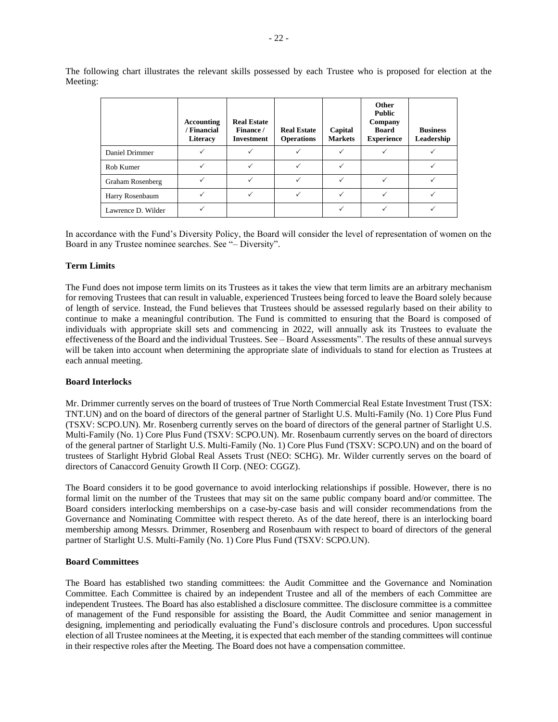The following chart illustrates the relevant skills possessed by each Trustee who is proposed for election at the Meeting:

|                    | Accounting<br>/ Financial<br>Literacy | <b>Real Estate</b><br>Finance /<br><b>Investment</b> | <b>Real Estate</b><br><b>Operations</b> | Capital<br><b>Markets</b> | Other<br><b>Public</b><br>Company<br><b>Board</b><br><b>Experience</b> | <b>Business</b><br>Leadership |
|--------------------|---------------------------------------|------------------------------------------------------|-----------------------------------------|---------------------------|------------------------------------------------------------------------|-------------------------------|
| Daniel Drimmer     |                                       |                                                      |                                         |                           |                                                                        |                               |
| Rob Kumer          |                                       |                                                      |                                         | $\checkmark$              |                                                                        |                               |
| Graham Rosenberg   |                                       |                                                      |                                         | $\checkmark$              |                                                                        |                               |
| Harry Rosenbaum    |                                       |                                                      |                                         | $\checkmark$              |                                                                        |                               |
| Lawrence D. Wilder |                                       |                                                      |                                         | ✓                         |                                                                        |                               |

In accordance with the Fund's Diversity Policy, the Board will consider the level of representation of women on the Board in any Trustee nominee searches. See "– Diversity".

#### **Term Limits**

The Fund does not impose term limits on its Trustees as it takes the view that term limits are an arbitrary mechanism for removing Trustees that can result in valuable, experienced Trustees being forced to leave the Board solely because of length of service. Instead, the Fund believes that Trustees should be assessed regularly based on their ability to continue to make a meaningful contribution. The Fund is committed to ensuring that the Board is composed of individuals with appropriate skill sets and commencing in 2022, will annually ask its Trustees to evaluate the effectiveness of the Board and the individual Trustees. See – Board Assessments". The results of these annual surveys will be taken into account when determining the appropriate slate of individuals to stand for election as Trustees at each annual meeting.

#### **Board Interlocks**

Mr. Drimmer currently serves on the board of trustees of True North Commercial Real Estate Investment Trust (TSX: TNT.UN) and on the board of directors of the general partner of Starlight U.S. Multi-Family (No. 1) Core Plus Fund (TSXV: SCPO.UN). Mr. Rosenberg currently serves on the board of directors of the general partner of Starlight U.S. Multi-Family (No. 1) Core Plus Fund (TSXV: SCPO.UN). Mr. Rosenbaum currently serves on the board of directors of the general partner of Starlight U.S. Multi-Family (No. 1) Core Plus Fund (TSXV: SCPO.UN) and on the board of trustees of Starlight Hybrid Global Real Assets Trust (NEO: SCHG). Mr. Wilder currently serves on the board of directors of Canaccord Genuity Growth II Corp. (NEO: CGGZ).

The Board considers it to be good governance to avoid interlocking relationships if possible. However, there is no formal limit on the number of the Trustees that may sit on the same public company board and/or committee. The Board considers interlocking memberships on a case-by-case basis and will consider recommendations from the Governance and Nominating Committee with respect thereto. As of the date hereof, there is an interlocking board membership among Messrs. Drimmer, Rosenberg and Rosenbaum with respect to board of directors of the general partner of Starlight U.S. Multi-Family (No. 1) Core Plus Fund (TSXV: SCPO.UN).

### **Board Committees**

The Board has established two standing committees: the Audit Committee and the Governance and Nomination Committee. Each Committee is chaired by an independent Trustee and all of the members of each Committee are independent Trustees. The Board has also established a disclosure committee. The disclosure committee is a committee of management of the Fund responsible for assisting the Board, the Audit Committee and senior management in designing, implementing and periodically evaluating the Fund's disclosure controls and procedures. Upon successful election of all Trustee nominees at the Meeting, it is expected that each member of the standing committees will continue in their respective roles after the Meeting. The Board does not have a compensation committee.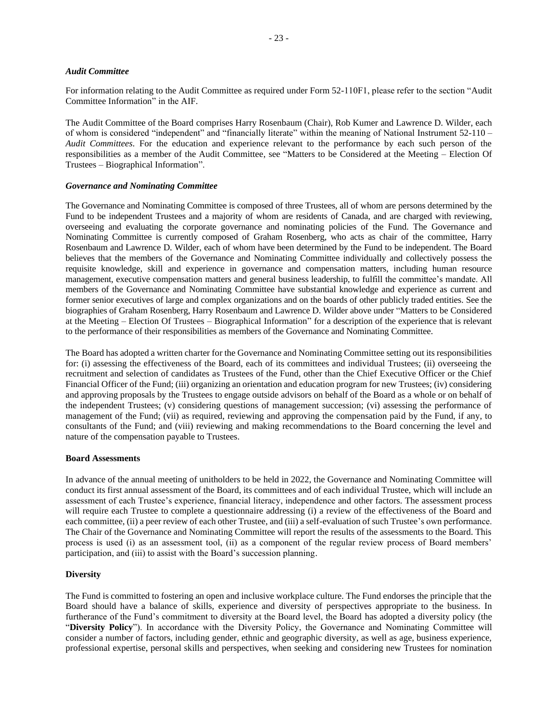#### *Audit Committee*

For information relating to the Audit Committee as required under Form 52-110F1, please refer to the section "Audit Committee Information" in the AIF.

The Audit Committee of the Board comprises Harry Rosenbaum (Chair), Rob Kumer and Lawrence D. Wilder, each of whom is considered "independent" and "financially literate" within the meaning of National Instrument 52-110 – *Audit Committees*. For the education and experience relevant to the performance by each such person of the responsibilities as a member of the Audit Committee, see "Matters to be Considered at the Meeting – Election Of Trustees – Biographical Information".

#### *Governance and Nominating Committee*

The Governance and Nominating Committee is composed of three Trustees, all of whom are persons determined by the Fund to be independent Trustees and a majority of whom are residents of Canada, and are charged with reviewing, overseeing and evaluating the corporate governance and nominating policies of the Fund. The Governance and Nominating Committee is currently composed of Graham Rosenberg, who acts as chair of the committee, Harry Rosenbaum and Lawrence D. Wilder, each of whom have been determined by the Fund to be independent. The Board believes that the members of the Governance and Nominating Committee individually and collectively possess the requisite knowledge, skill and experience in governance and compensation matters, including human resource management, executive compensation matters and general business leadership, to fulfill the committee's mandate. All members of the Governance and Nominating Committee have substantial knowledge and experience as current and former senior executives of large and complex organizations and on the boards of other publicly traded entities. See the biographies of Graham Rosenberg, Harry Rosenbaum and Lawrence D. Wilder above under "Matters to be Considered at the Meeting – Election Of Trustees – Biographical Information" for a description of the experience that is relevant to the performance of their responsibilities as members of the Governance and Nominating Committee.

The Board has adopted a written charter for the Governance and Nominating Committee setting out its responsibilities for: (i) assessing the effectiveness of the Board, each of its committees and individual Trustees; (ii) overseeing the recruitment and selection of candidates as Trustees of the Fund, other than the Chief Executive Officer or the Chief Financial Officer of the Fund; (iii) organizing an orientation and education program for new Trustees; (iv) considering and approving proposals by the Trustees to engage outside advisors on behalf of the Board as a whole or on behalf of the independent Trustees; (v) considering questions of management succession; (vi) assessing the performance of management of the Fund; (vii) as required, reviewing and approving the compensation paid by the Fund, if any, to consultants of the Fund; and (viii) reviewing and making recommendations to the Board concerning the level and nature of the compensation payable to Trustees.

#### **Board Assessments**

In advance of the annual meeting of unitholders to be held in 2022, the Governance and Nominating Committee will conduct its first annual assessment of the Board, its committees and of each individual Trustee, which will include an assessment of each Trustee's experience, financial literacy, independence and other factors. The assessment process will require each Trustee to complete a questionnaire addressing (i) a review of the effectiveness of the Board and each committee, (ii) a peer review of each other Trustee, and (iii) a self-evaluation of such Trustee's own performance. The Chair of the Governance and Nominating Committee will report the results of the assessments to the Board. This process is used (i) as an assessment tool, (ii) as a component of the regular review process of Board members' participation, and (iii) to assist with the Board's succession planning.

#### **Diversity**

The Fund is committed to fostering an open and inclusive workplace culture. The Fund endorses the principle that the Board should have a balance of skills, experience and diversity of perspectives appropriate to the business. In furtherance of the Fund's commitment to diversity at the Board level, the Board has adopted a diversity policy (the "**Diversity Policy**"). In accordance with the Diversity Policy, the Governance and Nominating Committee will consider a number of factors, including gender, ethnic and geographic diversity, as well as age, business experience, professional expertise, personal skills and perspectives, when seeking and considering new Trustees for nomination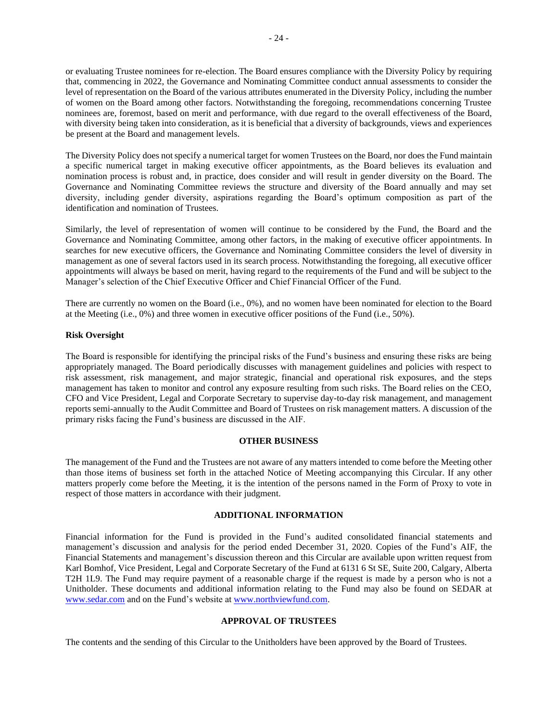or evaluating Trustee nominees for re-election. The Board ensures compliance with the Diversity Policy by requiring that, commencing in 2022, the Governance and Nominating Committee conduct annual assessments to consider the level of representation on the Board of the various attributes enumerated in the Diversity Policy, including the number of women on the Board among other factors. Notwithstanding the foregoing, recommendations concerning Trustee nominees are, foremost, based on merit and performance, with due regard to the overall effectiveness of the Board, with diversity being taken into consideration, as it is beneficial that a diversity of backgrounds, views and experiences be present at the Board and management levels.

The Diversity Policy does not specify a numerical target for women Trustees on the Board, nor does the Fund maintain a specific numerical target in making executive officer appointments, as the Board believes its evaluation and nomination process is robust and, in practice, does consider and will result in gender diversity on the Board. The Governance and Nominating Committee reviews the structure and diversity of the Board annually and may set diversity, including gender diversity, aspirations regarding the Board's optimum composition as part of the identification and nomination of Trustees.

Similarly, the level of representation of women will continue to be considered by the Fund, the Board and the Governance and Nominating Committee, among other factors, in the making of executive officer appointments. In searches for new executive officers, the Governance and Nominating Committee considers the level of diversity in management as one of several factors used in its search process. Notwithstanding the foregoing, all executive officer appointments will always be based on merit, having regard to the requirements of the Fund and will be subject to the Manager's selection of the Chief Executive Officer and Chief Financial Officer of the Fund.

There are currently no women on the Board (i.e., 0%), and no women have been nominated for election to the Board at the Meeting (i.e., 0%) and three women in executive officer positions of the Fund (i.e., 50%).

#### **Risk Oversight**

The Board is responsible for identifying the principal risks of the Fund's business and ensuring these risks are being appropriately managed. The Board periodically discusses with management guidelines and policies with respect to risk assessment, risk management, and major strategic, financial and operational risk exposures, and the steps management has taken to monitor and control any exposure resulting from such risks. The Board relies on the CEO, CFO and Vice President, Legal and Corporate Secretary to supervise day-to-day risk management, and management reports semi-annually to the Audit Committee and Board of Trustees on risk management matters. A discussion of the primary risks facing the Fund's business are discussed in the AIF.

#### **OTHER BUSINESS**

The management of the Fund and the Trustees are not aware of any matters intended to come before the Meeting other than those items of business set forth in the attached Notice of Meeting accompanying this Circular. If any other matters properly come before the Meeting, it is the intention of the persons named in the Form of Proxy to vote in respect of those matters in accordance with their judgment.

### **ADDITIONAL INFORMATION**

Financial information for the Fund is provided in the Fund's audited consolidated financial statements and management's discussion and analysis for the period ended December 31, 2020. Copies of the Fund's AIF, the Financial Statements and management's discussion thereon and this Circular are available upon written request from Karl Bomhof, Vice President, Legal and Corporate Secretary of the Fund at 6131 6 St SE, Suite 200, Calgary, Alberta T2H 1L9. The Fund may require payment of a reasonable charge if the request is made by a person who is not a Unitholder. These documents and additional information relating to the Fund may also be found on SEDAR at [www.sedar.com](file:///C:/Users/mspotts/AppData/Local/Microsoft/Windows/Temporary%20Internet%20Files/Content.Outlook/37OSR13J/www.sedar.com) and on the Fund's website a[t www.northviewfund.com.](http://www.northviewfund.com/)

## **APPROVAL OF TRUSTEES**

The contents and the sending of this Circular to the Unitholders have been approved by the Board of Trustees.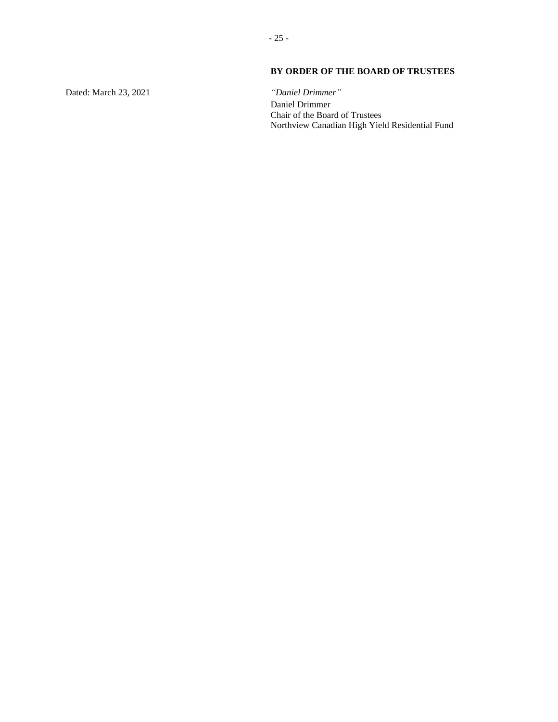## **BY ORDER OF THE BOARD OF TRUSTEES**

Dated: March 23, 2021

*"Daniel Drimmer"* Daniel Drimmer Chair of the Board of Trustees Northview Canadian High Yield Residential Fund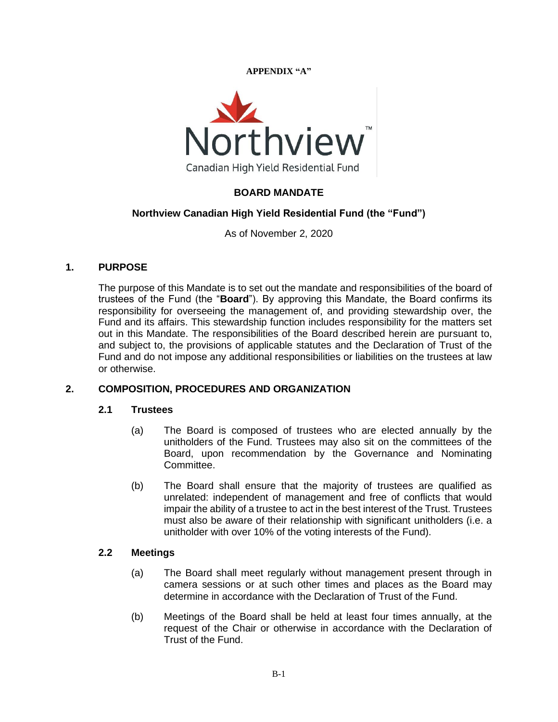**APPENDIX "A"**



## **BOARD MANDATE**

## **Northview Canadian High Yield Residential Fund (the "Fund")**

As of November 2, 2020

## **1. PURPOSE**

The purpose of this Mandate is to set out the mandate and responsibilities of the board of trustees of the Fund (the "**Board**"). By approving this Mandate, the Board confirms its responsibility for overseeing the management of, and providing stewardship over, the Fund and its affairs. This stewardship function includes responsibility for the matters set out in this Mandate. The responsibilities of the Board described herein are pursuant to, and subject to, the provisions of applicable statutes and the Declaration of Trust of the Fund and do not impose any additional responsibilities or liabilities on the trustees at law or otherwise.

## **2. COMPOSITION, PROCEDURES AND ORGANIZATION**

## **2.1 Trustees**

- (a) The Board is composed of trustees who are elected annually by the unitholders of the Fund. Trustees may also sit on the committees of the Board, upon recommendation by the Governance and Nominating Committee.
- (b) The Board shall ensure that the majority of trustees are qualified as unrelated: independent of management and free of conflicts that would impair the ability of a trustee to act in the best interest of the Trust. Trustees must also be aware of their relationship with significant unitholders (i.e. a unitholder with over 10% of the voting interests of the Fund).

## **2.2 Meetings**

- (a) The Board shall meet regularly without management present through in camera sessions or at such other times and places as the Board may determine in accordance with the Declaration of Trust of the Fund.
- (b) Meetings of the Board shall be held at least four times annually, at the request of the Chair or otherwise in accordance with the Declaration of Trust of the Fund.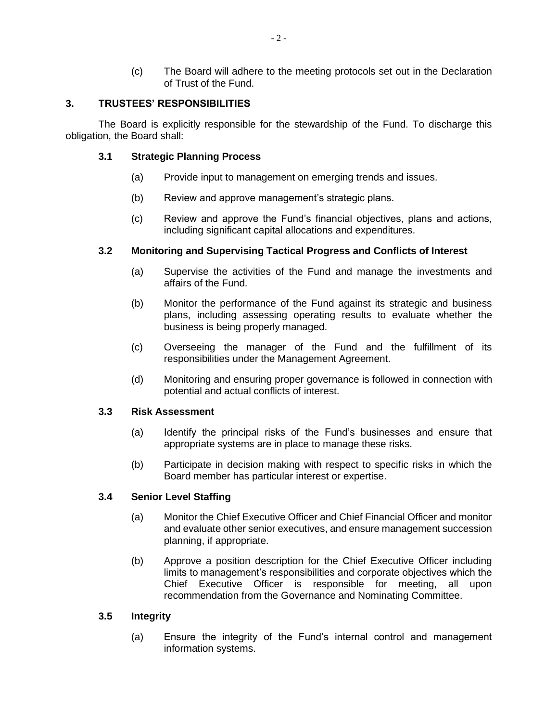(c) The Board will adhere to the meeting protocols set out in the Declaration of Trust of the Fund.

## **3. TRUSTEES' RESPONSIBILITIES**

The Board is explicitly responsible for the stewardship of the Fund. To discharge this obligation, the Board shall:

## **3.1 Strategic Planning Process**

- (a) Provide input to management on emerging trends and issues.
- (b) Review and approve management's strategic plans.
- (c) Review and approve the Fund's financial objectives, plans and actions, including significant capital allocations and expenditures.

## **3.2 Monitoring and Supervising Tactical Progress and Conflicts of Interest**

- (a) Supervise the activities of the Fund and manage the investments and affairs of the Fund.
- (b) Monitor the performance of the Fund against its strategic and business plans, including assessing operating results to evaluate whether the business is being properly managed.
- (c) Overseeing the manager of the Fund and the fulfillment of its responsibilities under the Management Agreement.
- (d) Monitoring and ensuring proper governance is followed in connection with potential and actual conflicts of interest.

## **3.3 Risk Assessment**

- (a) Identify the principal risks of the Fund's businesses and ensure that appropriate systems are in place to manage these risks.
- (b) Participate in decision making with respect to specific risks in which the Board member has particular interest or expertise.

## **3.4 Senior Level Staffing**

- (a) Monitor the Chief Executive Officer and Chief Financial Officer and monitor and evaluate other senior executives, and ensure management succession planning, if appropriate.
- (b) Approve a position description for the Chief Executive Officer including limits to management's responsibilities and corporate objectives which the Chief Executive Officer is responsible for meeting, all upon recommendation from the Governance and Nominating Committee.

## **3.5 Integrity**

(a) Ensure the integrity of the Fund's internal control and management information systems.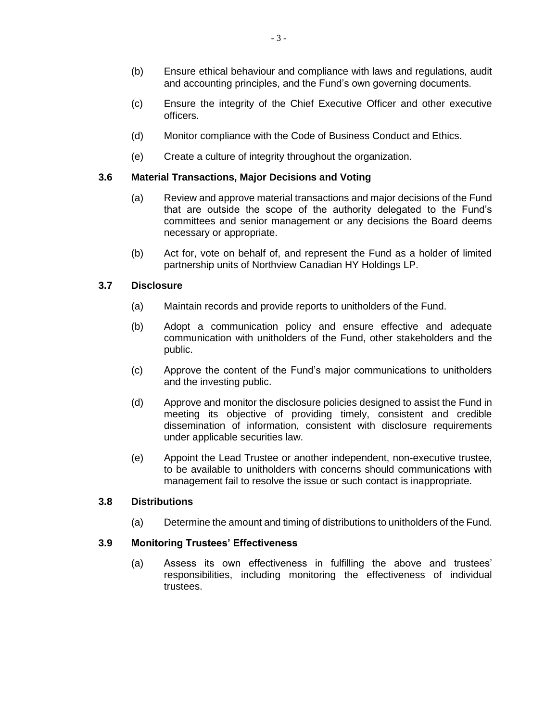- (b) Ensure ethical behaviour and compliance with laws and regulations, audit and accounting principles, and the Fund's own governing documents.
- (c) Ensure the integrity of the Chief Executive Officer and other executive officers.
- (d) Monitor compliance with the Code of Business Conduct and Ethics.
- (e) Create a culture of integrity throughout the organization.

## **3.6 Material Transactions, Major Decisions and Voting**

- (a) Review and approve material transactions and major decisions of the Fund that are outside the scope of the authority delegated to the Fund's committees and senior management or any decisions the Board deems necessary or appropriate.
- (b) Act for, vote on behalf of, and represent the Fund as a holder of limited partnership units of Northview Canadian HY Holdings LP.

## **3.7 Disclosure**

- (a) Maintain records and provide reports to unitholders of the Fund.
- (b) Adopt a communication policy and ensure effective and adequate communication with unitholders of the Fund, other stakeholders and the public.
- (c) Approve the content of the Fund's major communications to unitholders and the investing public.
- (d) Approve and monitor the disclosure policies designed to assist the Fund in meeting its objective of providing timely, consistent and credible dissemination of information, consistent with disclosure requirements under applicable securities law.
- (e) Appoint the Lead Trustee or another independent, non-executive trustee, to be available to unitholders with concerns should communications with management fail to resolve the issue or such contact is inappropriate.

## **3.8 Distributions**

(a) Determine the amount and timing of distributions to unitholders of the Fund.

## **3.9 Monitoring Trustees' Effectiveness**

(a) Assess its own effectiveness in fulfilling the above and trustees' responsibilities, including monitoring the effectiveness of individual trustees.